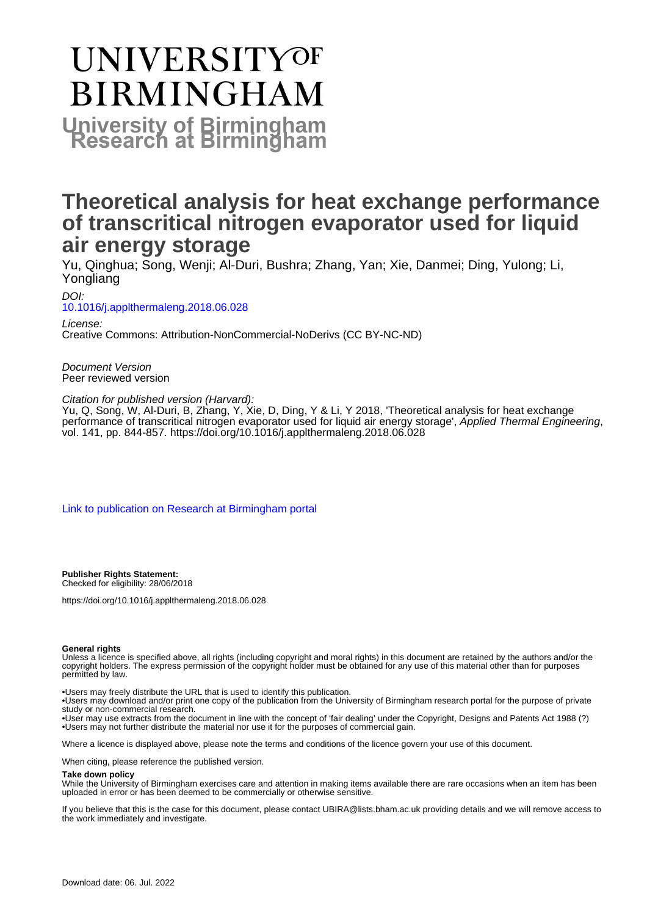# **UNIVERSITYOF BIRMINGHAM University of Birmingham**

# **Theoretical analysis for heat exchange performance of transcritical nitrogen evaporator used for liquid air energy storage**

Yu, Qinghua; Song, Wenji; Al-Duri, Bushra; Zhang, Yan; Xie, Danmei; Ding, Yulong; Li, Yongliang

DOI: [10.1016/j.applthermaleng.2018.06.028](https://doi.org/10.1016/j.applthermaleng.2018.06.028)

License: Creative Commons: Attribution-NonCommercial-NoDerivs (CC BY-NC-ND)

Document Version Peer reviewed version

Citation for published version (Harvard):

Yu, Q, Song, W, Al-Duri, B, Zhang, Y, Xie, D, Ding, Y & Li, Y 2018, 'Theoretical analysis for heat exchange performance of transcritical nitrogen evaporator used for liquid air energy storage', Applied Thermal Engineering, vol. 141, pp. 844-857. <https://doi.org/10.1016/j.applthermaleng.2018.06.028>

[Link to publication on Research at Birmingham portal](https://birmingham.elsevierpure.com/en/publications/1cec9566-bcc3-49be-ad89-a123470be998)

**Publisher Rights Statement:** Checked for eligibility: 28/06/2018

https://doi.org/10.1016/j.applthermaleng.2018.06.028

#### **General rights**

Unless a licence is specified above, all rights (including copyright and moral rights) in this document are retained by the authors and/or the copyright holders. The express permission of the copyright holder must be obtained for any use of this material other than for purposes permitted by law.

• Users may freely distribute the URL that is used to identify this publication.

• Users may download and/or print one copy of the publication from the University of Birmingham research portal for the purpose of private study or non-commercial research.

• User may use extracts from the document in line with the concept of 'fair dealing' under the Copyright, Designs and Patents Act 1988 (?) • Users may not further distribute the material nor use it for the purposes of commercial gain.

Where a licence is displayed above, please note the terms and conditions of the licence govern your use of this document.

When citing, please reference the published version.

#### **Take down policy**

While the University of Birmingham exercises care and attention in making items available there are rare occasions when an item has been uploaded in error or has been deemed to be commercially or otherwise sensitive.

If you believe that this is the case for this document, please contact UBIRA@lists.bham.ac.uk providing details and we will remove access to the work immediately and investigate.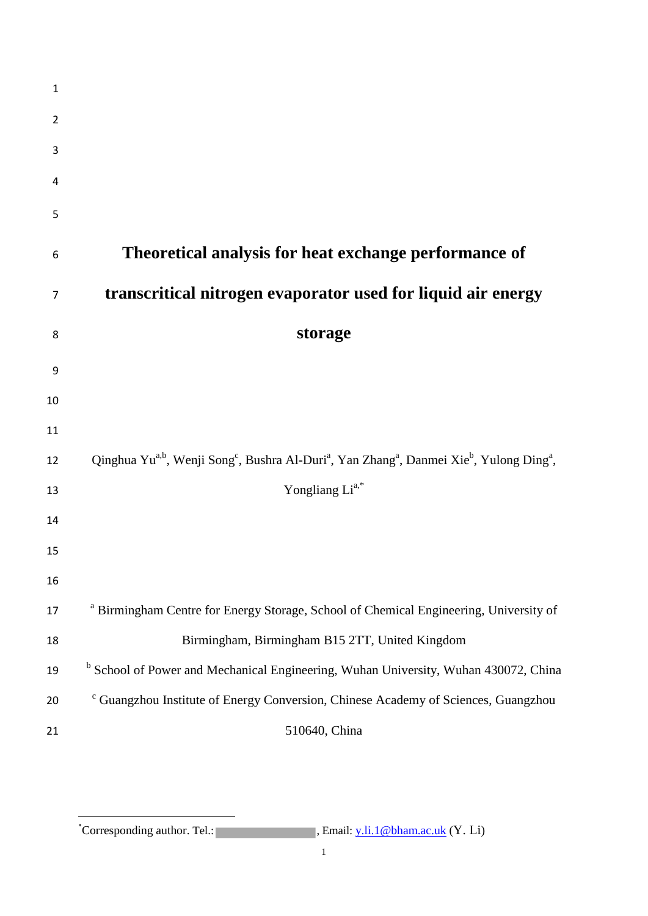| $\mathbf 1$    |                                                                                                                                                                   |
|----------------|-------------------------------------------------------------------------------------------------------------------------------------------------------------------|
| $\overline{2}$ |                                                                                                                                                                   |
| 3              |                                                                                                                                                                   |
| 4              |                                                                                                                                                                   |
| 5              |                                                                                                                                                                   |
| 6              | Theoretical analysis for heat exchange performance of                                                                                                             |
| 7              | transcritical nitrogen evaporator used for liquid air energy                                                                                                      |
| 8              | storage                                                                                                                                                           |
| 9              |                                                                                                                                                                   |
| 10             |                                                                                                                                                                   |
| 11             |                                                                                                                                                                   |
| 12             | Qinghua Yu <sup>a,b</sup> , Wenji Song <sup>c</sup> , Bushra Al-Duri <sup>a</sup> , Yan Zhang <sup>a</sup> , Danmei Xie <sup>b</sup> , Yulong Ding <sup>a</sup> , |
| 13             | Yongliang Li <sup>a,*</sup>                                                                                                                                       |
| 14             |                                                                                                                                                                   |
| 15             |                                                                                                                                                                   |
| 16             |                                                                                                                                                                   |
| 17             | <sup>a</sup> Birmingham Centre for Energy Storage, School of Chemical Engineering, University of                                                                  |
| 18             | Birmingham, Birmingham B15 2TT, United Kingdom                                                                                                                    |
| 19             | <sup>b</sup> School of Power and Mechanical Engineering, Wuhan University, Wuhan 430072, China                                                                    |
| 20             | <sup>c</sup> Guangzhou Institute of Energy Conversion, Chinese Academy of Sciences, Guangzhou                                                                     |
| 21             | 510640, China                                                                                                                                                     |

\*Corresponding author. Tel.: <sup>C</sup>orresponding author. Tel.: **Fig. 1.** Tel.: **Fig. 2.** Tel.: **Tel.:**  $(Y, Li)$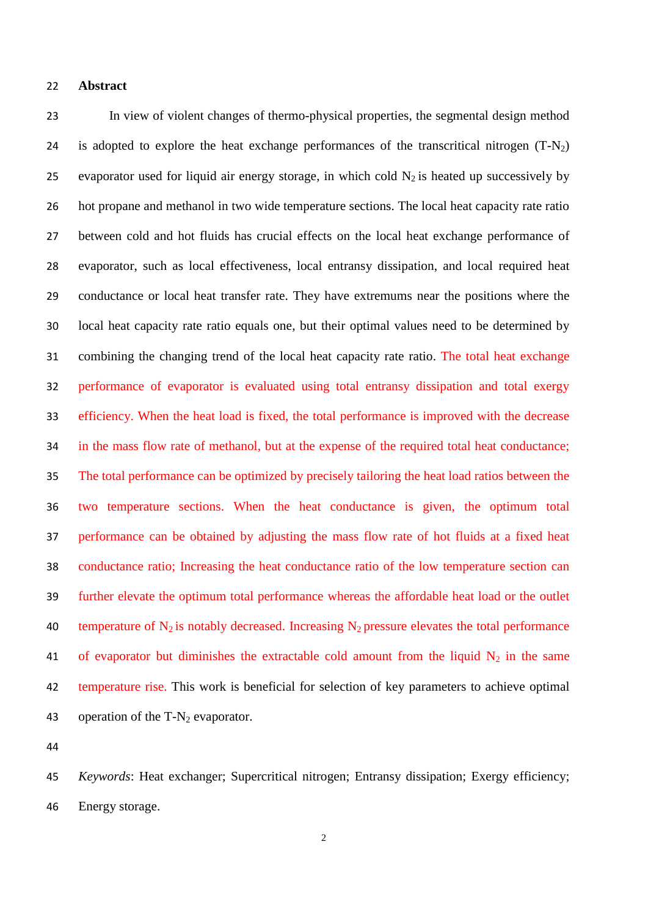#### **Abstract**

 In view of violent changes of thermo-physical properties, the segmental design method 24 is adopted to explore the heat exchange performances of the transcritical nitrogen  $(T-N_2)$ 25 evaporator used for liquid air energy storage, in which cold  $N_2$  is heated up successively by hot propane and methanol in two wide temperature sections. The local heat capacity rate ratio between cold and hot fluids has crucial effects on the local heat exchange performance of evaporator, such as local effectiveness, local entransy dissipation, and local required heat conductance or local heat transfer rate. They have extremums near the positions where the local heat capacity rate ratio equals one, but their optimal values need to be determined by combining the changing trend of the local heat capacity rate ratio. The total heat exchange performance of evaporator is evaluated using total entransy dissipation and total exergy efficiency. When the heat load is fixed, the total performance is improved with the decrease in the mass flow rate of methanol, but at the expense of the required total heat conductance; The total performance can be optimized by precisely tailoring the heat load ratios between the two temperature sections. When the heat conductance is given, the optimum total performance can be obtained by adjusting the mass flow rate of hot fluids at a fixed heat conductance ratio; Increasing the heat conductance ratio of the low temperature section can further elevate the optimum total performance whereas the affordable heat load or the outlet 40 temperature of  $N_2$  is notably decreased. Increasing  $N_2$  pressure elevates the total performance 41 of evaporator but diminishes the extractable cold amount from the liquid  $N_2$  in the same temperature rise. This work is beneficial for selection of key parameters to achieve optimal 43 operation of the  $T-N_2$  evaporator.

 *Keywords*: Heat exchanger; Supercritical nitrogen; Entransy dissipation; Exergy efficiency; Energy storage.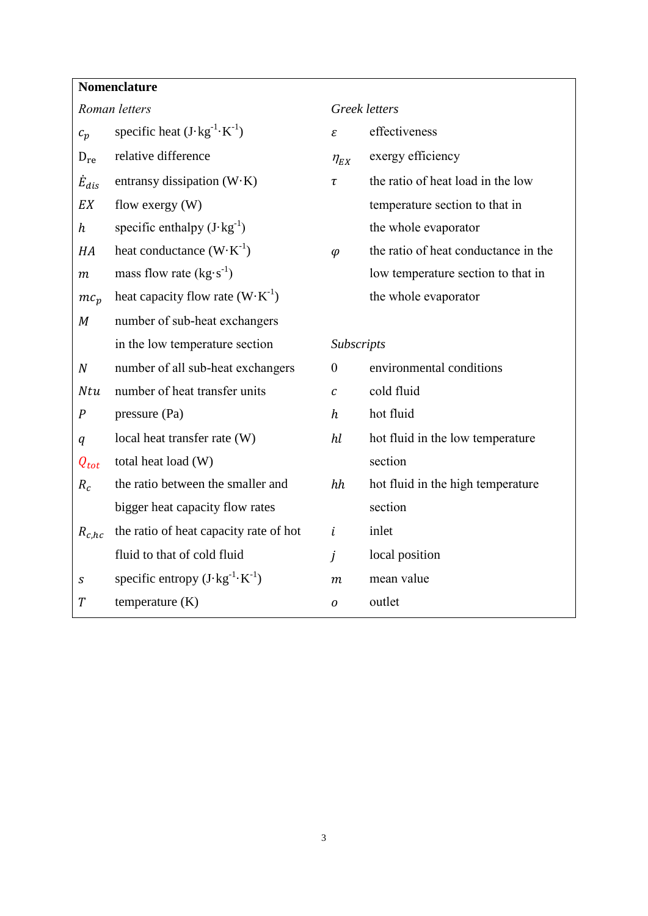## **Nomenclature**

| Roman letters    |                                                   | Greek letters                  |                                      |  |  |
|------------------|---------------------------------------------------|--------------------------------|--------------------------------------|--|--|
| $c_p$            | specific heat $(J \cdot kg^{-1} \cdot K^{-1})$    | ε                              | effectiveness                        |  |  |
| $D_{re}$         | relative difference                               | $\eta_{\scriptscriptstyle EX}$ | exergy efficiency                    |  |  |
| $\dot{E}_{dis}$  | entransy dissipation $(W \cdot K)$                | $\tau$                         | the ratio of heat load in the low    |  |  |
| EX               | flow exergy $(W)$                                 |                                | temperature section to that in       |  |  |
| h                | specific enthalpy $(J \cdot kg^{-1})$             |                                | the whole evaporator                 |  |  |
| HA               | heat conductance $(W \cdot K^{-1})$               | $\varphi$                      | the ratio of heat conductance in the |  |  |
| т                | mass flow rate $(kg·s^{-1})$                      |                                | low temperature section to that in   |  |  |
| $mc_p$           | heat capacity flow rate $(W \cdot K^{-1})$        |                                | the whole evaporator                 |  |  |
| $\boldsymbol{M}$ | number of sub-heat exchangers                     |                                |                                      |  |  |
|                  | in the low temperature section                    |                                | Subscripts                           |  |  |
| $\boldsymbol{N}$ | number of all sub-heat exchangers                 | $\theta$                       | environmental conditions             |  |  |
| Ntu              | number of heat transfer units                     | $\boldsymbol{c}$               | cold fluid                           |  |  |
| $\cal P$         | pressure (Pa)                                     | $\boldsymbol{h}$               | hot fluid                            |  |  |
| q                | local heat transfer rate (W)                      | hl                             | hot fluid in the low temperature     |  |  |
| $Q_{tot}$        | total heat load (W)                               |                                | section                              |  |  |
| $R_c$            | the ratio between the smaller and                 | hh                             | hot fluid in the high temperature    |  |  |
|                  | bigger heat capacity flow rates                   |                                | section                              |  |  |
| $R_{c,hc}$       | the ratio of heat capacity rate of hot            | $\dot{\iota}$                  | inlet                                |  |  |
|                  | fluid to that of cold fluid                       | j                              | local position                       |  |  |
| $\boldsymbol{S}$ | specific entropy $(J \cdot kg^{-1} \cdot K^{-1})$ | $\boldsymbol{m}$               | mean value                           |  |  |
| $\overline{T}$   | temperature $(K)$                                 | 0                              | outlet                               |  |  |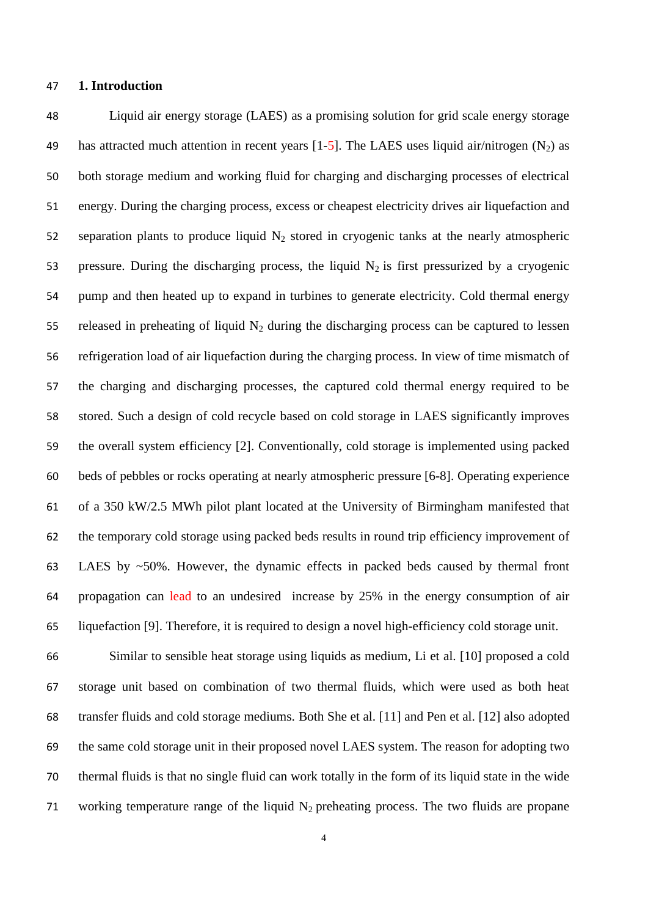#### **1. Introduction**

 Liquid air energy storage (LAES) as a promising solution for grid scale energy storage 49 has attracted much attention in recent years  $[1-5]$ . The LAES uses liquid air/nitrogen  $(N_2)$  as both storage medium and working fluid for charging and discharging processes of electrical energy. During the charging process, excess or cheapest electricity drives air liquefaction and 52 separation plants to produce liquid  $N_2$  stored in cryogenic tanks at the nearly atmospheric 53 pressure. During the discharging process, the liquid  $N_2$  is first pressurized by a cryogenic pump and then heated up to expand in turbines to generate electricity. Cold thermal energy 55 released in preheating of liquid  $N_2$  during the discharging process can be captured to lessen refrigeration load of air liquefaction during the charging process. In view of time mismatch of the charging and discharging processes, the captured cold thermal energy required to be stored. Such a design of cold recycle based on cold storage in LAES significantly improves the overall system efficiency [2]. Conventionally, cold storage is implemented using packed beds of pebbles or rocks operating at nearly atmospheric pressure [6-8]. Operating experience of a 350 kW/2.5 MWh pilot plant located at the University of Birmingham manifested that the temporary cold storage using packed beds results in round trip efficiency improvement of LAES by ~50%. However, the dynamic effects in packed beds caused by thermal front propagation can lead to an undesired increase by 25% in the energy consumption of air liquefaction [9]. Therefore, it is required to design a novel high-efficiency cold storage unit.

 Similar to sensible heat storage using liquids as medium, Li et al. [10] proposed a cold storage unit based on combination of two thermal fluids, which were used as both heat transfer fluids and cold storage mediums. Both She et al. [11] and Pen et al. [12] also adopted the same cold storage unit in their proposed novel LAES system. The reason for adopting two thermal fluids is that no single fluid can work totally in the form of its liquid state in the wide 71 working temperature range of the liquid  $N_2$  preheating process. The two fluids are propane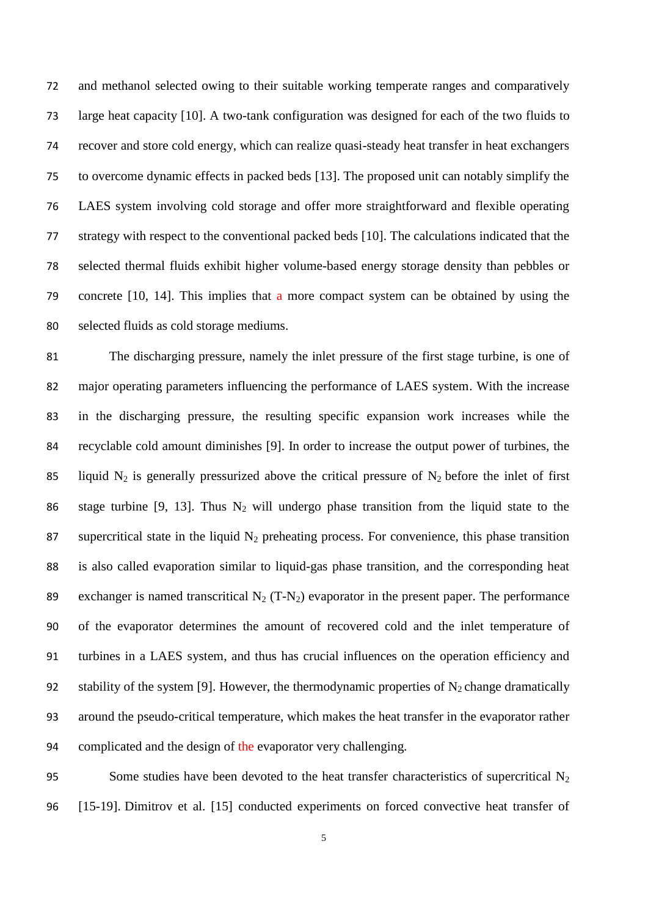and methanol selected owing to their suitable working temperate ranges and comparatively large heat capacity [10]. A two-tank configuration was designed for each of the two fluids to recover and store cold energy, which can realize quasi-steady heat transfer in heat exchangers to overcome dynamic effects in packed beds [13]. The proposed unit can notably simplify the LAES system involving cold storage and offer more straightforward and flexible operating strategy with respect to the conventional packed beds [10]. The calculations indicated that the selected thermal fluids exhibit higher volume-based energy storage density than pebbles or concrete [10, 14]. This implies that a more compact system can be obtained by using the selected fluids as cold storage mediums.

 The discharging pressure, namely the inlet pressure of the first stage turbine, is one of major operating parameters influencing the performance of LAES system. With the increase in the discharging pressure, the resulting specific expansion work increases while the recyclable cold amount diminishes [9]. In order to increase the output power of turbines, the 85 liquid N<sub>2</sub> is generally pressurized above the critical pressure of N<sub>2</sub> before the inlet of first 86 stage turbine [9, 13]. Thus  $N_2$  will undergo phase transition from the liquid state to the 87 supercritical state in the liquid  $N_2$  preheating process. For convenience, this phase transition is also called evaporation similar to liquid-gas phase transition, and the corresponding heat 89 exchanger is named transcritical  $N_2$  (T-N<sub>2</sub>) evaporator in the present paper. The performance of the evaporator determines the amount of recovered cold and the inlet temperature of turbines in a LAES system, and thus has crucial influences on the operation efficiency and 92 stability of the system [9]. However, the thermodynamic properties of  $N_2$  change dramatically around the pseudo-critical temperature, which makes the heat transfer in the evaporator rather complicated and the design of the evaporator very challenging.

95 Some studies have been devoted to the heat transfer characteristics of supercritical  $N_2$ [15-19]. Dimitrov et al. [15] conducted experiments on forced convective heat transfer of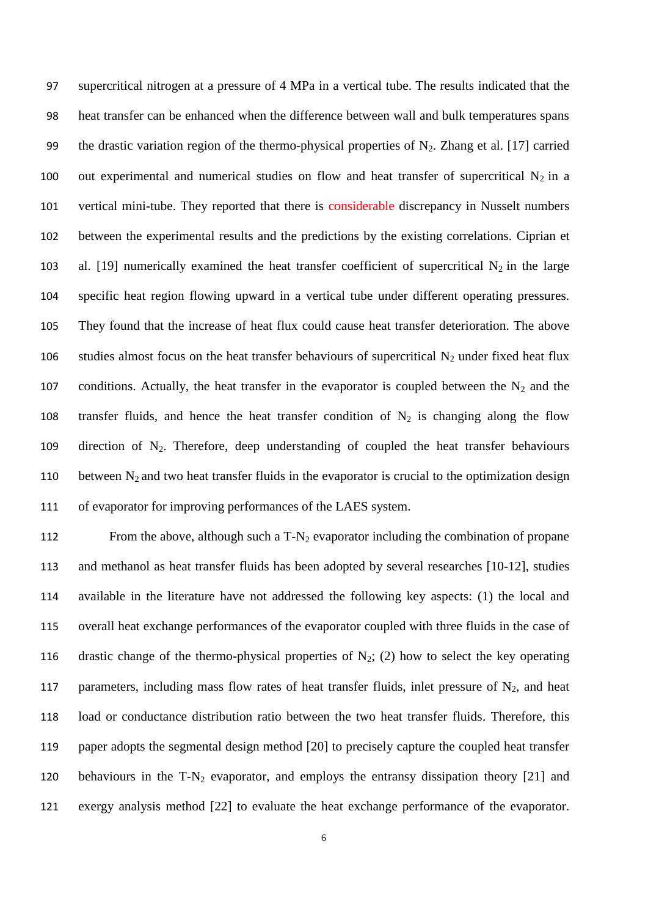97 supercritical nitrogen at a pressure of 4 MPa in a vertical tube. The results indicated that the 98 heat transfer can be enhanced when the difference between wall and bulk temperatures spans 99 the drastic variation region of the thermo-physical properties of  $N_2$ . Zhang et al. [17] carried 100 out experimental and numerical studies on flow and heat transfer of supercritical  $N_2$  in a 101 vertical mini-tube. They reported that there is considerable discrepancy in Nusselt numbers 102 between the experimental results and the predictions by the existing correlations. Ciprian et 103 al. [19] numerically examined the heat transfer coefficient of supercritical  $N_2$  in the large 104 specific heat region flowing upward in a vertical tube under different operating pressures. 105 They found that the increase of heat flux could cause heat transfer deterioration. The above 106 studies almost focus on the heat transfer behaviours of supercritical  $N_2$  under fixed heat flux 107 conditions. Actually, the heat transfer in the evaporator is coupled between the  $N_2$  and the 108 transfer fluids, and hence the heat transfer condition of  $N_2$  is changing along the flow 109 direction of  $N_2$ . Therefore, deep understanding of coupled the heat transfer behaviours 110 between  $N_2$  and two heat transfer fluids in the evaporator is crucial to the optimization design 111 of evaporator for improving performances of the LAES system.

112 From the above, although such a  $T-N_2$  evaporator including the combination of propane and methanol as heat transfer fluids has been adopted by several researches [10-12], studies available in the literature have not addressed the following key aspects: (1) the local and overall heat exchange performances of the evaporator coupled with three fluids in the case of 116 drastic change of the thermo-physical properties of  $N_2$ ; (2) how to select the key operating 117 parameters, including mass flow rates of heat transfer fluids, inlet pressure of  $N_2$ , and heat load or conductance distribution ratio between the two heat transfer fluids. Therefore, this paper adopts the segmental design method [20] to precisely capture the coupled heat transfer behaviours in the T-N<sup>2</sup> evaporator, and employs the entransy dissipation theory [21] and exergy analysis method [22] to evaluate the heat exchange performance of the evaporator.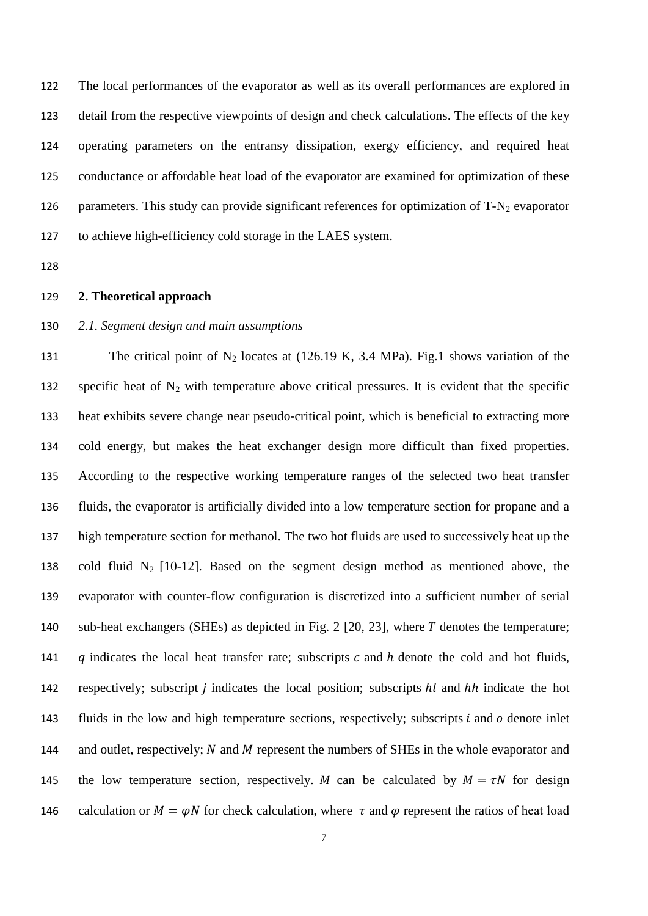The local performances of the evaporator as well as its overall performances are explored in detail from the respective viewpoints of design and check calculations. The effects of the key operating parameters on the entransy dissipation, exergy efficiency, and required heat conductance or affordable heat load of the evaporator are examined for optimization of these 126 parameters. This study can provide significant references for optimization of  $T-N_2$  evaporator to achieve high-efficiency cold storage in the LAES system.

128

#### 129 **2. Theoretical approach**

#### 130 *2.1. Segment design and main assumptions*

131 The critical point of  $N_2$  locates at (126.19 K, 3.4 MPa). Fig.1 shows variation of the 132 specific heat of  $N_2$  with temperature above critical pressures. It is evident that the specific 133 heat exhibits severe change near pseudo-critical point, which is beneficial to extracting more 134 cold energy, but makes the heat exchanger design more difficult than fixed properties. 135 According to the respective working temperature ranges of the selected two heat transfer 136 fluids, the evaporator is artificially divided into a low temperature section for propane and a 137 high temperature section for methanol. The two hot fluids are used to successively heat up the 138 cold fluid  $N_2$  [10-12]. Based on the segment design method as mentioned above, the 139 evaporator with counter-flow configuration is discretized into a sufficient number of serial 140 sub-heat exchangers (SHEs) as depicted in Fig. 2 [20, 23], where T denotes the temperature; 141  $\alpha$  indicates the local heat transfer rate; subscripts  $c$  and  $h$  denote the cold and hot fluids, 142 respectively; subscript *i* indicates the local position; subscripts *hl* and *hh* indicate the hot 143 fluids in the low and high temperature sections, respectively; subscripts  $i$  and  $o$  denote inlet 144 and outlet, respectively;  $N$  and  $M$  represent the numbers of SHEs in the whole evaporator and 145 the low temperature section, respectively. *M* can be calculated by  $M = \tau N$  for design 146 calculation or  $M = \varphi N$  for check calculation, where  $\tau$  and  $\varphi$  represent the ratios of heat load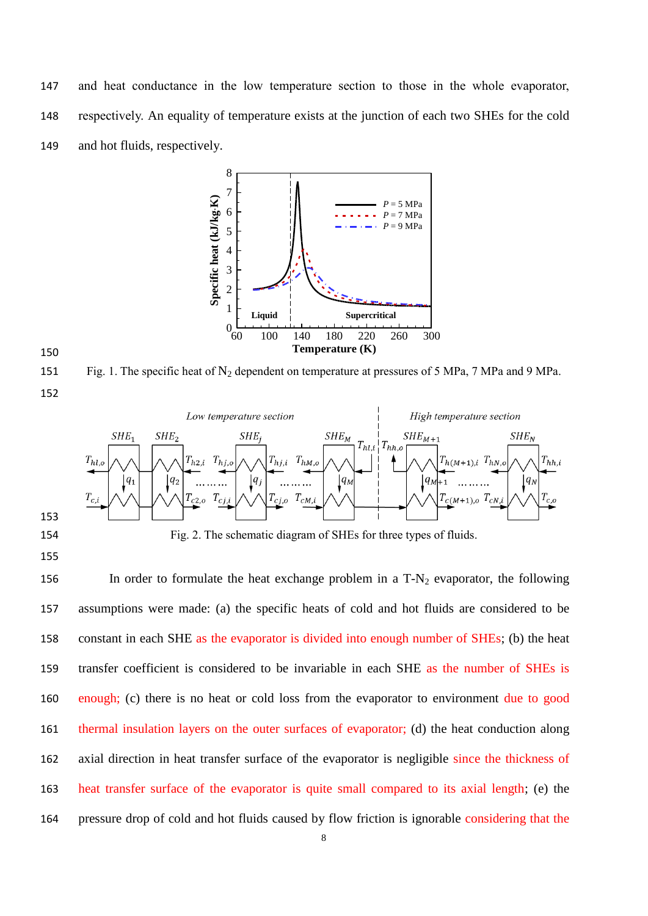and heat conductance in the low temperature section to those in the whole evaporator, respectively. An equality of temperature exists at the junction of each two SHEs for the cold and hot fluids, respectively.





151 Fig. 1. The specific heat of  $N_2$  dependent on temperature at pressures of 5 MPa, 7 MPa and 9 MPa. 

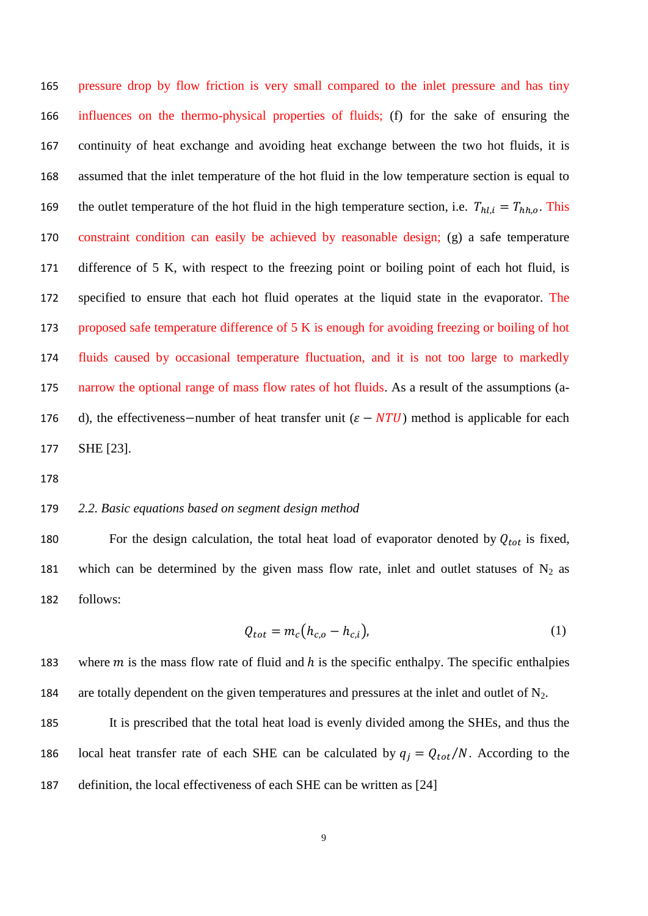pressure drop by flow friction is very small compared to the inlet pressure and has tiny influences on the thermo-physical properties of fluids; (f) for the sake of ensuring the continuity of heat exchange and avoiding heat exchange between the two hot fluids, it is assumed that the inlet temperature of the hot fluid in the low temperature section is equal to 169 the outlet temperature of the hot fluid in the high temperature section, i.e.  $T_{hl,i} = T_{hh,o}$ . This constraint condition can easily be achieved by reasonable design; (g) a safe temperature difference of 5 K, with respect to the freezing point or boiling point of each hot fluid, is specified to ensure that each hot fluid operates at the liquid state in the evaporator. The proposed safe temperature difference of 5 K is enough for avoiding freezing or boiling of hot fluids caused by occasional temperature fluctuation, and it is not too large to markedly narrow the optional range of mass flow rates of hot fluids. As a result of the assumptions (a-176 d), the effectiveness–number of heat transfer unit  $(\varepsilon - NTU)$  method is applicable for each SHE [23].

#### *2.2. Basic equations based on segment design method*

180 For the design calculation, the total heat load of evaporator denoted by  $Q_{tot}$  is fixed, 181 which can be determined by the given mass flow rate, inlet and outlet statuses of  $N_2$  as follows:

$$
Q_{tot} = m_c (h_{c,o} - h_{c,i}),
$$
 (1)

183 where  $m$  is the mass flow rate of fluid and  $h$  is the specific enthalpy. The specific enthalpies 184 are totally dependent on the given temperatures and pressures at the inlet and outlet of  $N_2$ .

 It is prescribed that the total heat load is evenly divided among the SHEs, and thus the 186 local heat transfer rate of each SHE can be calculated by  $q_i = Q_{tot}/N$ . According to the definition, the local effectiveness of each SHE can be written as [24]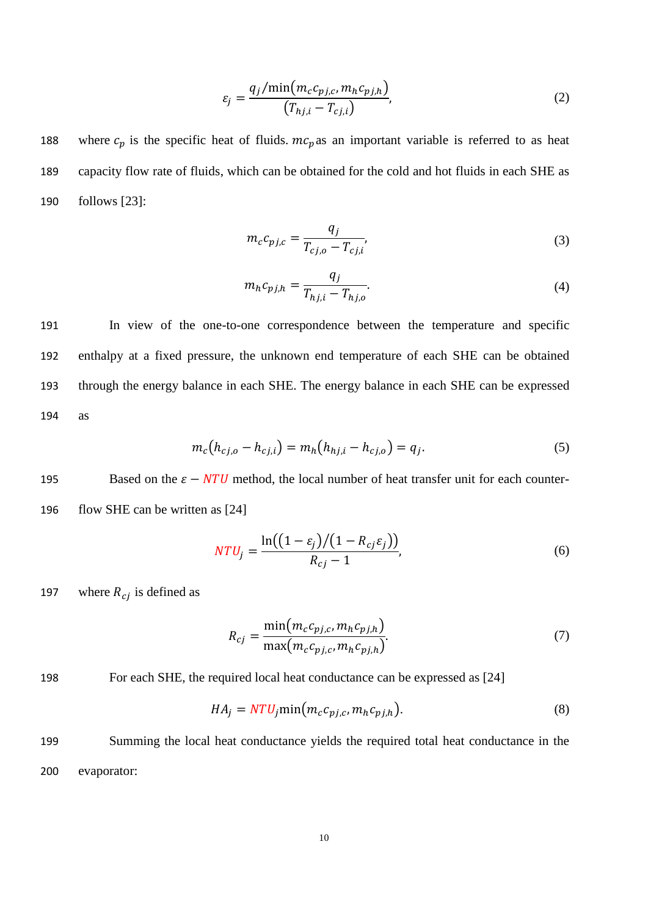$$
\varepsilon_j = \frac{q_j/\min(m_c c_{pj,c}, m_h c_{pj,h})}{(T_{hj,i} - T_{cj,i})},\tag{2}
$$

188 where  $c_p$  is the specific heat of fluids.  $mc_p$  as an important variable is referred to as heat 189 capacity flow rate of fluids, which can be obtained for the cold and hot fluids in each SHE as 190 follows [23]:

$$
m_c c_{pj,c} = \frac{q_j}{T_{cj,o} - T_{cj,i}}\tag{3}
$$

$$
m_h c_{p j,h} = \frac{q_j}{T_{h j,i} - T_{h j,o}}.
$$
\n(4)

 In view of the one-to-one correspondence between the temperature and specific enthalpy at a fixed pressure, the unknown end temperature of each SHE can be obtained through the energy balance in each SHE. The energy balance in each SHE can be expressed 194 as

$$
m_c(h_{cj,o} - h_{cj,i}) = m_h(h_{hj,i} - h_{cj,o}) = q_j.
$$
\n(5)

195 Based on the  $\varepsilon - NTU$  method, the local number of heat transfer unit for each counter-196 flow SHE can be written as [24]

$$
NTU_j = \frac{\ln((1 - \varepsilon_j)/(1 - R_{cj}\varepsilon_j))}{R_{cj} - 1},
$$
\n(6)

197 where  $R_{ci}$  is defined as

$$
R_{cj} = \frac{\min(m_c c_{pj,c}, m_h c_{pj,h})}{\max(m_c c_{pj,c}, m_h c_{pj,h})}.
$$
\n
$$
(7)
$$

198 For each SHE, the required local heat conductance can be expressed as [24]

$$
HA_j = NTU_j \min\left(m_c c_{pj,c}, m_h c_{pj,h}\right). \tag{8}
$$

199 Summing the local heat conductance yields the required total heat conductance in the 200 evaporator: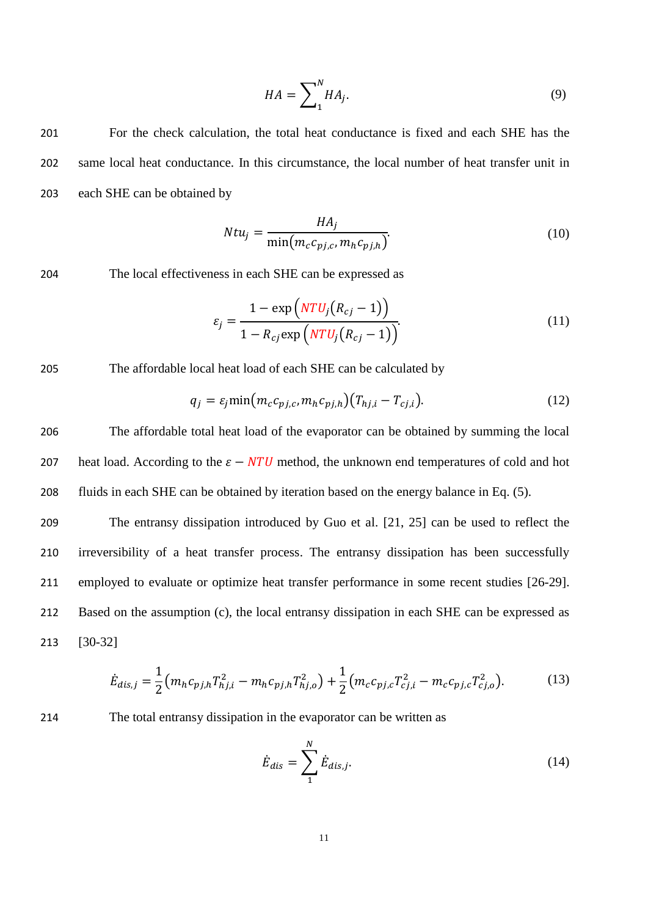$$
HA = \sum_{1}^{N} HA_j.
$$
 (9)

201 For the check calculation, the total heat conductance is fixed and each SHE has the 202 same local heat conductance. In this circumstance, the local number of heat transfer unit in 203 each SHE can be obtained by

$$
Ntu_j = \frac{HA_j}{\min(m_c c_{pj,c}, m_h c_{pj,h})}.
$$
\n(10)

204 The local effectiveness in each SHE can be expressed as

$$
\varepsilon_j = \frac{1 - \exp(NTU_j(R_{cj} - 1))}{1 - R_{cj} \exp(NTU_j(R_{cj} - 1))}.
$$
\n(11)

#### 205 The affordable local heat load of each SHE can be calculated by

$$
q_j = \varepsilon_j \min \big( m_c c_{pj,c}, m_h c_{pj,h} \big) \big( T_{hj,i} - T_{cj,i} \big). \tag{12}
$$

206 The affordable total heat load of the evaporator can be obtained by summing the local 207 heat load. According to the  $\varepsilon - NTU$  method, the unknown end temperatures of cold and hot 208 fluids in each SHE can be obtained by iteration based on the energy balance in Eq. (5).

 The entransy dissipation introduced by Guo et al. [21, 25] can be used to reflect the irreversibility of a heat transfer process. The entransy dissipation has been successfully employed to evaluate or optimize heat transfer performance in some recent studies [26-29]. Based on the assumption (c), the local entransy dissipation in each SHE can be expressed as 213 [30-32]

$$
\dot{E}_{dis,j} = \frac{1}{2} \left( m_h c_{pj,h} T_{hj,i}^2 - m_h c_{pj,h} T_{hj,o}^2 \right) + \frac{1}{2} \left( m_c c_{pj,c} T_{cj,i}^2 - m_c c_{pj,c} T_{cj,o}^2 \right).
$$
(13)

214 The total entransy dissipation in the evaporator can be written as

$$
\dot{E}_{dis} = \sum_{1}^{N} \dot{E}_{dis,j}.
$$
\n(14)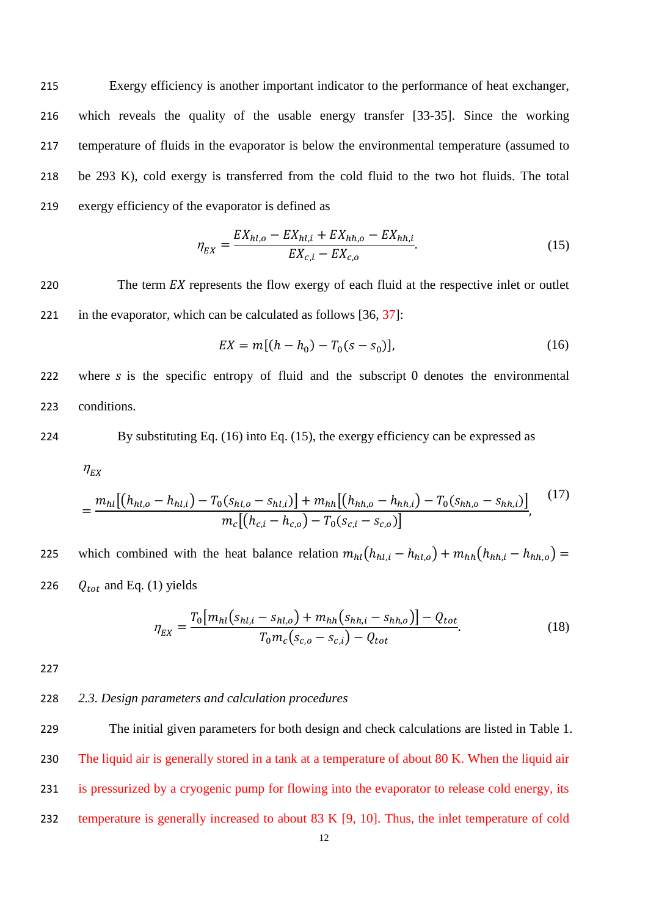Exergy efficiency is another important indicator to the performance of heat exchanger, which reveals the quality of the usable energy transfer [33-35]. Since the working temperature of fluids in the evaporator is below the environmental temperature (assumed to be 293 K), cold exergy is transferred from the cold fluid to the two hot fluids. The total exergy efficiency of the evaporator is defined as

$$
\eta_{EX} = \frac{EX_{hl,o} - EX_{hl,i} + EX_{hh,o} - EX_{hh,i}}{EX_{c,i} - EX_{c,o}}.
$$
\n(15)

220 The term  $EX$  represents the flow exergy of each fluid at the respective inlet or outlet 221 in the evaporator, which can be calculated as follows [36, 37]:

$$
EX = m[(h - h_0) - T_0(s - s_0)],
$$
\n(16)

222 where  $\delta$  is the specific entropy of fluid and the subscript 0 denotes the environmental 223 conditions.

224 By substituting Eq. 
$$
(16)
$$
 into Eq.  $(15)$ , the exergy efficiency can be expressed as

 $\eta_{EX}$ 

$$
=\frac{m_{hl}[(h_{hl,o}-h_{hl,i})-T_0(s_{hl,o}-s_{hl,i})+m_{hh}[(h_{hh,o}-h_{hh,i})-T_0(s_{hh,o}-s_{hh,i})]}{m_c[(h_{c,i}-h_{c,o})-T_0(s_{c,i}-s_{c,o})]}.
$$
\n<sup>(17)</sup>

225 which combined with the heat balance relation  $m_{hl}(h_{hl,i} - h_{hl,o}) + m_{hh}(h_{hh,i} - h_{hh,o}) =$ 226  $Q_{tot}$  and Eq. (1) yields

$$
\eta_{EX} = \frac{T_0[m_{hl}(s_{hl,i} - s_{hl,o}) + m_{hh}(s_{hh,i} - s_{hh,o})] - Q_{tot}}{T_0 m_c(s_{c,o} - s_{c,i}) - Q_{tot}}.
$$
\n(18)

227

#### 228 *2.3. Design parameters and calculation procedures*

 The initial given parameters for both design and check calculations are listed in Table 1. The liquid air is generally stored in a tank at a temperature of about 80 K. When the liquid air is pressurized by a cryogenic pump for flowing into the evaporator to release cold energy, its temperature is generally increased to about 83 K [9, 10]. Thus, the inlet temperature of cold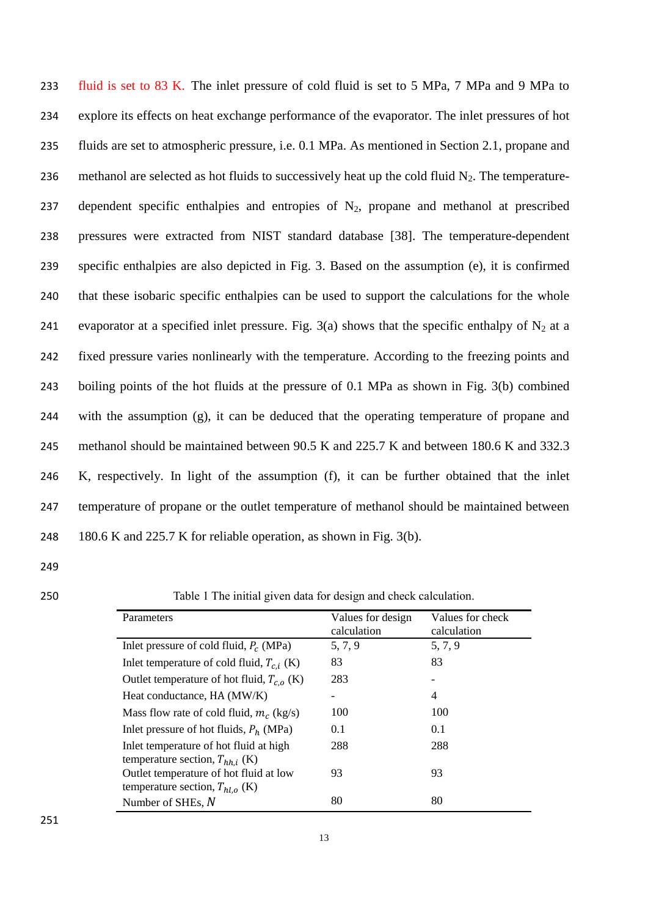fluid is set to 83 K. The inlet pressure of cold fluid is set to 5 MPa, 7 MPa and 9 MPa to explore its effects on heat exchange performance of the evaporator. The inlet pressures of hot fluids are set to atmospheric pressure, i.e. 0.1 MPa. As mentioned in Section 2.1, propane and 236 methanol are selected as hot fluids to successively heat up the cold fluid  $N_2$ . The temperature-237 dependent specific enthalpies and entropies of  $N_2$ , propane and methanol at prescribed pressures were extracted from NIST standard database [38]. The temperature-dependent specific enthalpies are also depicted in Fig. 3. Based on the assumption (e), it is confirmed that these isobaric specific enthalpies can be used to support the calculations for the whole 241 evaporator at a specified inlet pressure. Fig. 3(a) shows that the specific enthalpy of  $N_2$  at a fixed pressure varies nonlinearly with the temperature. According to the freezing points and boiling points of the hot fluids at the pressure of 0.1 MPa as shown in Fig. 3(b) combined with the assumption (g), it can be deduced that the operating temperature of propane and methanol should be maintained between 90.5 K and 225.7 K and between 180.6 K and 332.3 K, respectively. In light of the assumption (f), it can be further obtained that the inlet temperature of propane or the outlet temperature of methanol should be maintained between 248 180.6 K and 225.7 K for reliable operation, as shown in Fig. 3(b).

- 249
- 

250 Table 1 The initial given data for design and check calculation.

| Parameters                                     | Values for design<br>calculation | Values for check<br>calculation |
|------------------------------------------------|----------------------------------|---------------------------------|
| Inlet pressure of cold fluid, $P_c$ (MPa)      | 5, 7, 9                          | 5, 7, 9                         |
| Inlet temperature of cold fluid, $T_{c,i}$ (K) | 83                               | 83                              |
| Outlet temperature of hot fluid, $T_{c,o}$ (K) | 283                              |                                 |
| Heat conductance, HA (MW/K)                    |                                  | 4                               |
| Mass flow rate of cold fluid, $m_c$ (kg/s)     | 100                              | 100                             |
| Inlet pressure of hot fluids, $P_h$ (MPa)      | 0.1                              | 0.1                             |
| Inlet temperature of hot fluid at high         | 288                              | 288                             |
| temperature section, $T_{hh,i}$ (K)            |                                  |                                 |
| Outlet temperature of hot fluid at low         | 93                               | 93                              |
| temperature section, $T_{hl,o}$ (K)            |                                  |                                 |
| Number of SHEs, $N$                            | 80                               | 80                              |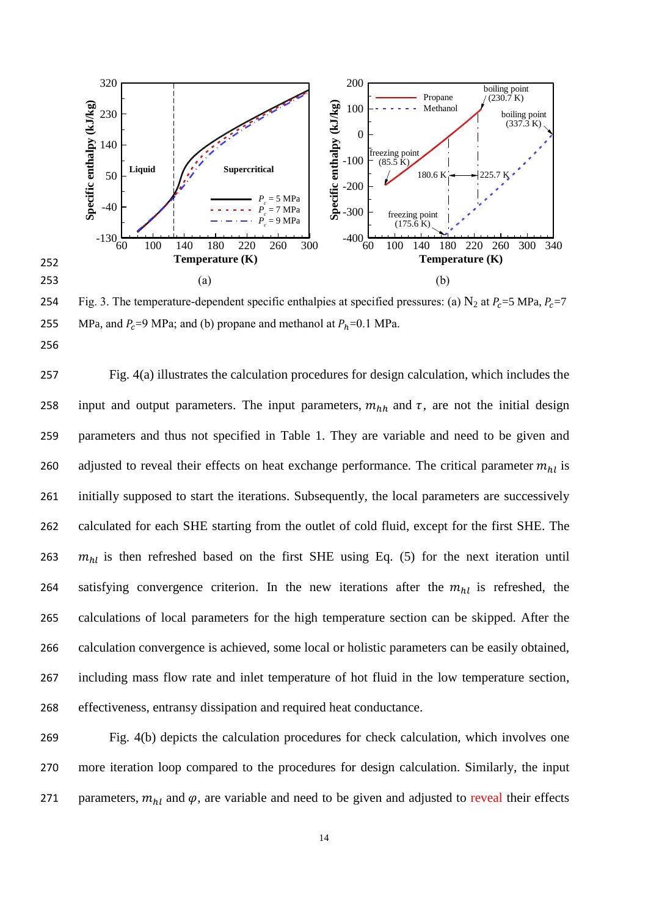

254 Fig. 3. The temperature-dependent specific enthalpies at specified pressures: (a)  $N_2$  at  $P_c = 5 \text{ MPa}$ ,  $P_c = 7$ 255 MPa, and  $P_c = 9$  MPa; and (b) propane and methanol at  $P_h = 0.1$  MPa.

 Fig. 4(a) illustrates the calculation procedures for design calculation, which includes the 258 input and output parameters. The input parameters,  $m_{hh}$  and  $\tau$ , are not the initial design parameters and thus not specified in Table 1. They are variable and need to be given and 260 adjusted to reveal their effects on heat exchange performance. The critical parameter  $m_{hl}$  is initially supposed to start the iterations. Subsequently, the local parameters are successively calculated for each SHE starting from the outlet of cold fluid, except for the first SHE. The  $m_{hl}$  is then refreshed based on the first SHE using Eq. (5) for the next iteration until 264 satisfying convergence criterion. In the new iterations after the  $m_{hl}$  is refreshed, the calculations of local parameters for the high temperature section can be skipped. After the calculation convergence is achieved, some local or holistic parameters can be easily obtained, including mass flow rate and inlet temperature of hot fluid in the low temperature section, effectiveness, entransy dissipation and required heat conductance.

269 Fig. 4(b) depicts the calculation procedures for check calculation, which involves one 270 more iteration loop compared to the procedures for design calculation. Similarly, the input 271 parameters,  $m_{hl}$  and  $\varphi$ , are variable and need to be given and adjusted to reveal their effects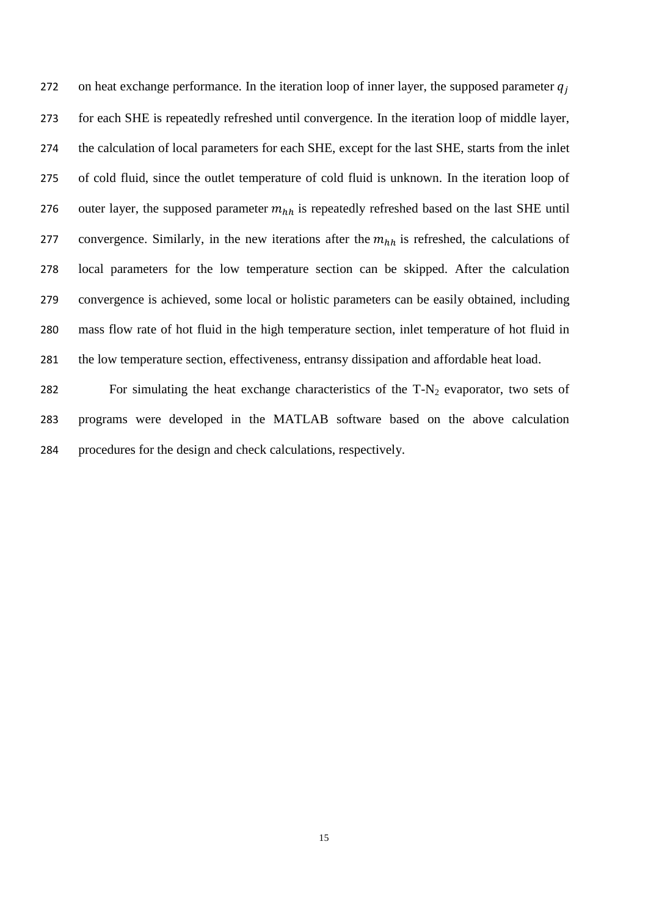272 on heat exchange performance. In the iteration loop of inner layer, the supposed parameter  $q_i$  for each SHE is repeatedly refreshed until convergence. In the iteration loop of middle layer, the calculation of local parameters for each SHE, except for the last SHE, starts from the inlet of cold fluid, since the outlet temperature of cold fluid is unknown. In the iteration loop of 276 outer layer, the supposed parameter  $m_{hh}$  is repeatedly refreshed based on the last SHE until 277 convergence. Similarly, in the new iterations after the  $m_{hh}$  is refreshed, the calculations of local parameters for the low temperature section can be skipped. After the calculation convergence is achieved, some local or holistic parameters can be easily obtained, including mass flow rate of hot fluid in the high temperature section, inlet temperature of hot fluid in the low temperature section, effectiveness, entransy dissipation and affordable heat load.

282 For simulating the heat exchange characteristics of the  $T-N_2$  evaporator, two sets of programs were developed in the MATLAB software based on the above calculation procedures for the design and check calculations, respectively.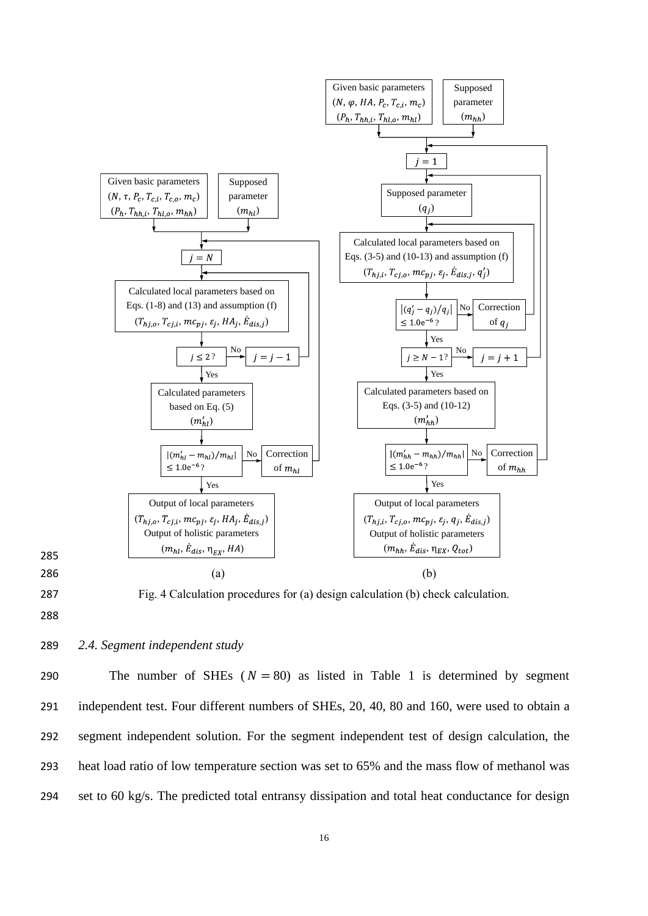

287 Fig. 4 Calculation procedures for (a) design calculation (b) check calculation.

### 289 *2.4. Segment independent study*

290 The number of SHEs  $(N = 80)$  as listed in Table 1 is determined by segment independent test. Four different numbers of SHEs, 20, 40, 80 and 160, were used to obtain a segment independent solution. For the segment independent test of design calculation, the heat load ratio of low temperature section was set to 65% and the mass flow of methanol was set to 60 kg/s. The predicted total entransy dissipation and total heat conductance for design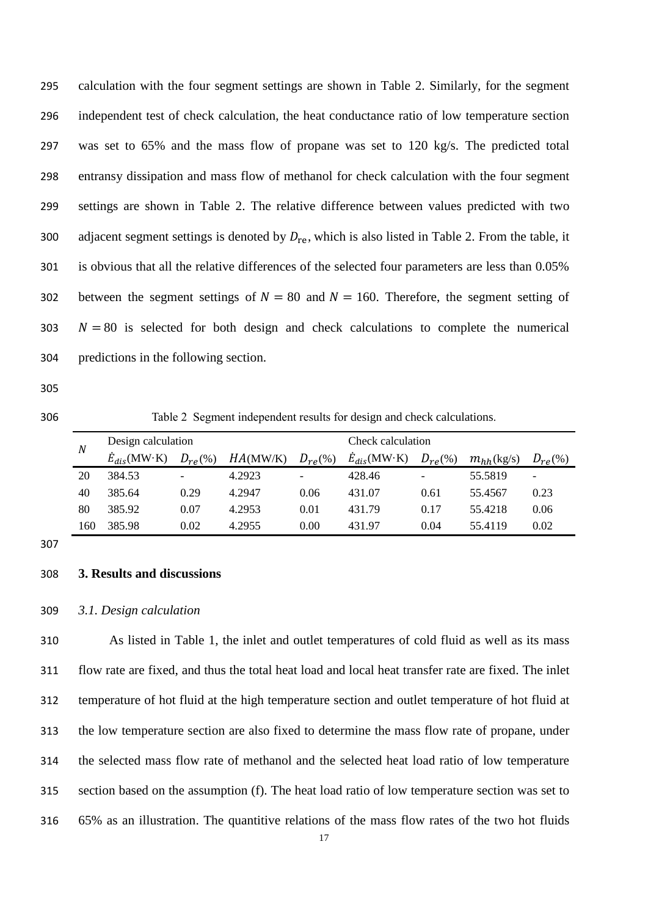| 295 | calculation with the four segment settings are shown in Table 2. Similarly, for the segment                |
|-----|------------------------------------------------------------------------------------------------------------|
| 296 | independent test of check calculation, the heat conductance ratio of low temperature section               |
| 297 | was set to 65% and the mass flow of propane was set to 120 kg/s. The predicted total                       |
| 298 | entransy dissipation and mass flow of methanol for check calculation with the four segment                 |
| 299 | settings are shown in Table 2. The relative difference between values predicted with two                   |
| 300 | adjacent segment settings is denoted by $D_{\rm re}$ , which is also listed in Table 2. From the table, it |
| 301 | is obvious that all the relative differences of the selected four parameters are less than 0.05%           |
| 302 | between the segment settings of $N = 80$ and $N = 160$ . Therefore, the segment setting of                 |
| 303 | $N = 80$ is selected for both design and check calculations to complete the numerical                      |
| 304 | predictions in the following section.                                                                      |

- 
- 

Table 2 Segment independent results for design and check calculations.

| N   | Design calculation     |                          |          | Check calculation |                        |                   |                 |                          |
|-----|------------------------|--------------------------|----------|-------------------|------------------------|-------------------|-----------------|--------------------------|
|     | $\dot{E}_{dis}$ (MW·K) | $D_{r\rho}(\%)$          | HA(MW/K) | $D_{re}(\%)$      | $\dot{E}_{dis}$ (MW·K) | $D_{re}(\%)$      | $m_{hh}$ (kg/s) | $D_{re}(\%)$             |
| 20  | 384.53                 | $\overline{\phantom{0}}$ | 4.2923   | $\overline{a}$    | 428.46                 | $\qquad \qquad -$ | 55.5819         | $\overline{\phantom{0}}$ |
| 40  | 385.64                 | 0.29                     | 4.2947   | 0.06              | 431.07                 | 0.61              | 55.4567         | 0.23                     |
| 80  | 385.92                 | 0.07                     | 4.2953   | 0.01              | 431.79                 | 0.17              | 55.4218         | 0.06                     |
| 160 | 385.98                 | 0.02                     | 4.2955   | 0.00              | 431.97                 | 0.04              | 55.4119         | 0.02                     |

#### **3. Results and discussions**

*3.1. Design calculation*

 As listed in Table 1, the inlet and outlet temperatures of cold fluid as well as its mass flow rate are fixed, and thus the total heat load and local heat transfer rate are fixed. The inlet temperature of hot fluid at the high temperature section and outlet temperature of hot fluid at the low temperature section are also fixed to determine the mass flow rate of propane, under the selected mass flow rate of methanol and the selected heat load ratio of low temperature section based on the assumption (f). The heat load ratio of low temperature section was set to 65% as an illustration. The quantitive relations of the mass flow rates of the two hot fluids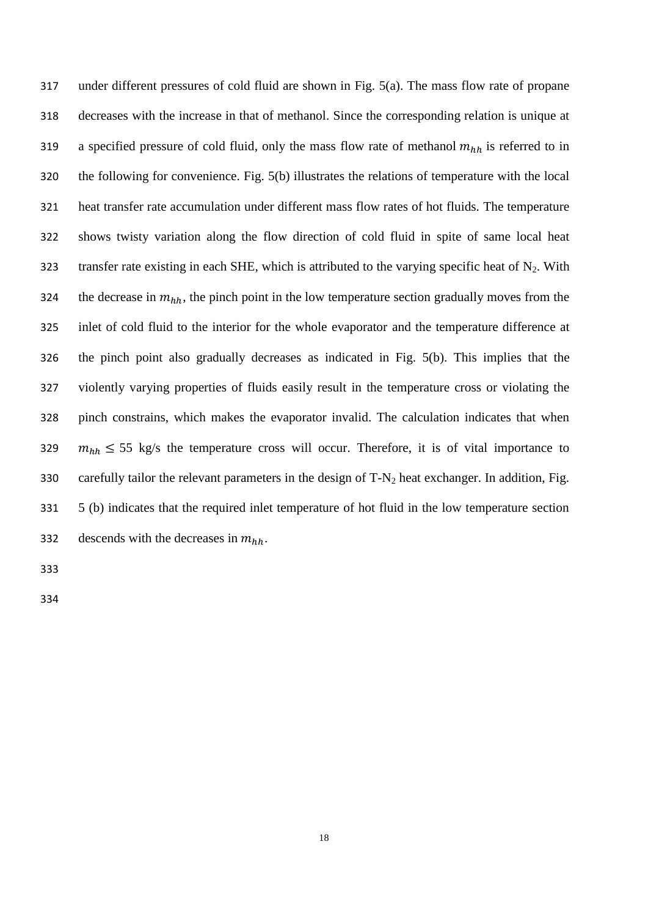under different pressures of cold fluid are shown in Fig. 5(a). The mass flow rate of propane decreases with the increase in that of methanol. Since the corresponding relation is unique at 319 a specified pressure of cold fluid, only the mass flow rate of methanol  $m_{hh}$  is referred to in the following for convenience. Fig. 5(b) illustrates the relations of temperature with the local heat transfer rate accumulation under different mass flow rates of hot fluids. The temperature shows twisty variation along the flow direction of cold fluid in spite of same local heat 323 transfer rate existing in each SHE, which is attributed to the varying specific heat of  $N_2$ . With 324 the decrease in  $m_{hh}$ , the pinch point in the low temperature section gradually moves from the inlet of cold fluid to the interior for the whole evaporator and the temperature difference at the pinch point also gradually decreases as indicated in Fig. 5(b). This implies that the violently varying properties of fluids easily result in the temperature cross or violating the pinch constrains, which makes the evaporator invalid. The calculation indicates that when  $m_{hh} \leq 55$  kg/s the temperature cross will occur. Therefore, it is of vital importance to 330 carefully tailor the relevant parameters in the design of  $T-N_2$  heat exchanger. In addition, Fig. 5 (b) indicates that the required inlet temperature of hot fluid in the low temperature section 332 descends with the decreases in  $m_{hh}$ .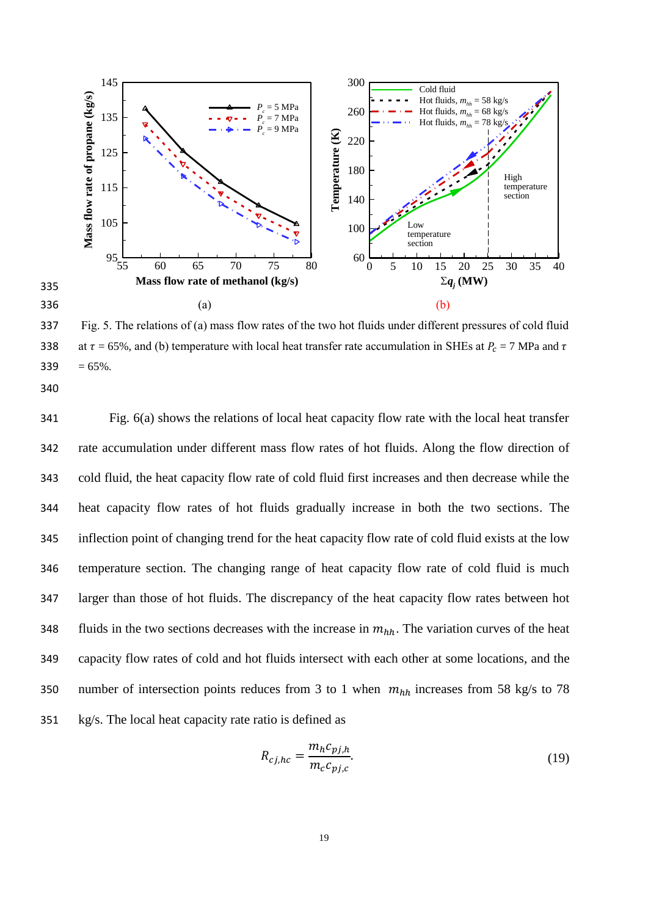

337 Fig. 5. The relations of (a) mass flow rates of the two hot fluids under different pressures of cold fluid 338 at  $\tau = 65\%$ , and (b) temperature with local heat transfer rate accumulation in SHEs at  $P_c = 7$  MPa and  $\tau$  $339 = 65\%$ .

 Fig. 6(a) shows the relations of local heat capacity flow rate with the local heat transfer rate accumulation under different mass flow rates of hot fluids. Along the flow direction of cold fluid, the heat capacity flow rate of cold fluid first increases and then decrease while the heat capacity flow rates of hot fluids gradually increase in both the two sections. The inflection point of changing trend for the heat capacity flow rate of cold fluid exists at the low temperature section. The changing range of heat capacity flow rate of cold fluid is much larger than those of hot fluids. The discrepancy of the heat capacity flow rates between hot 348 fluids in the two sections decreases with the increase in  $m_{hh}$ . The variation curves of the heat capacity flow rates of cold and hot fluids intersect with each other at some locations, and the 350 number of intersection points reduces from 3 to 1 when  $m_{hh}$  increases from 58 kg/s to 78 kg/s. The local heat capacity rate ratio is defined as

$$
R_{cj,hc} = \frac{m_h c_{pj,h}}{m_c c_{pj,c}}.\tag{19}
$$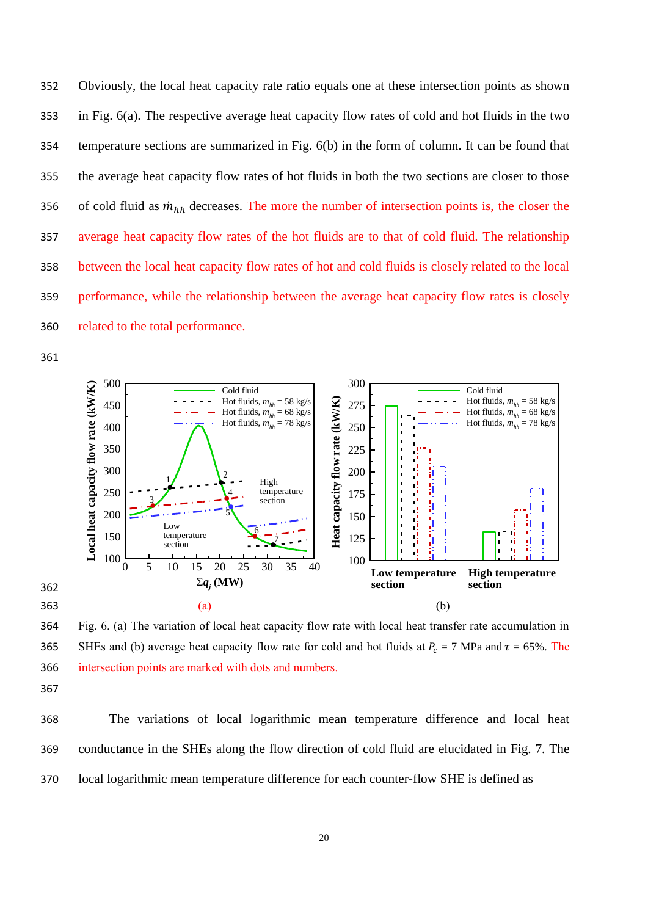Obviously, the local heat capacity rate ratio equals one at these intersection points as shown in Fig. 6(a). The respective average heat capacity flow rates of cold and hot fluids in the two temperature sections are summarized in Fig. 6(b) in the form of column. It can be found that the average heat capacity flow rates of hot fluids in both the two sections are closer to those 356 of cold fluid as  $\dot{m}_{hh}$  decreases. The more the number of intersection points is, the closer the average heat capacity flow rates of the hot fluids are to that of cold fluid. The relationship between the local heat capacity flow rates of hot and cold fluids is closely related to the local performance, while the relationship between the average heat capacity flow rates is closely related to the total performance.



 Fig. 6. (a) The variation of local heat capacity flow rate with local heat transfer rate accumulation in 365 SHEs and (b) average heat capacity flow rate for cold and hot fluids at  $P_c = 7$  MPa and  $\tau = 65\%$ . The intersection points are marked with dots and numbers.

 The variations of local logarithmic mean temperature difference and local heat conductance in the SHEs along the flow direction of cold fluid are elucidated in Fig. 7. The local logarithmic mean temperature difference for each counter-flow SHE is defined as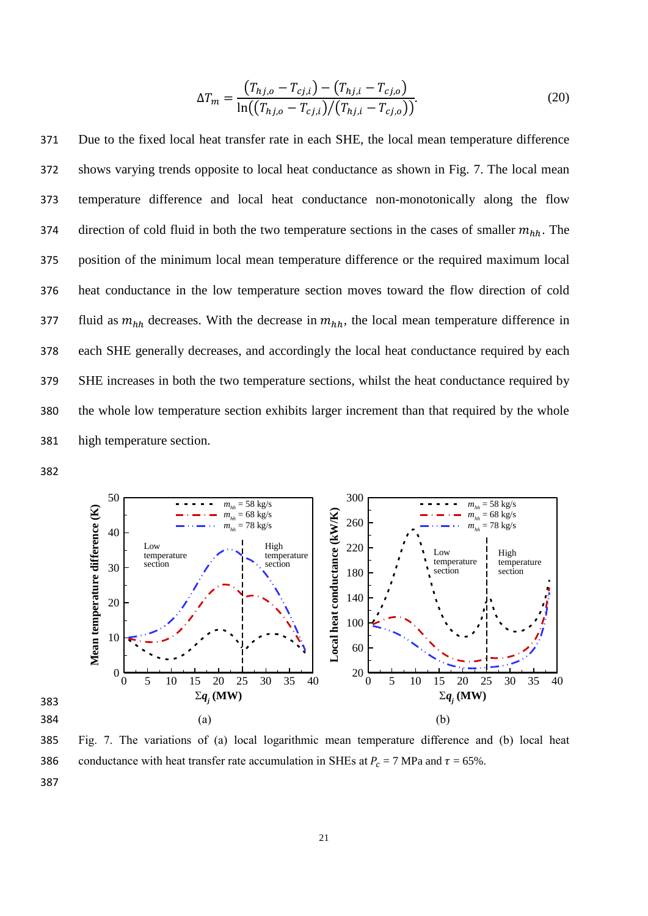$$
\Delta T_m = \frac{(T_{hj,o} - T_{cj,i}) - (T_{hj,i} - T_{cj,o})}{\ln((T_{hj,o} - T_{cj,i})/(T_{hj,i} - T_{cj,o}))}.
$$
\n(20)

 Due to the fixed local heat transfer rate in each SHE, the local mean temperature difference shows varying trends opposite to local heat conductance as shown in Fig. 7. The local mean temperature difference and local heat conductance non-monotonically along the flow 374 direction of cold fluid in both the two temperature sections in the cases of smaller  $m_{hh}$ . The position of the minimum local mean temperature difference or the required maximum local heat conductance in the low temperature section moves toward the flow direction of cold 377 fluid as  $m_{hh}$  decreases. With the decrease in  $m_{hh}$ , the local mean temperature difference in each SHE generally decreases, and accordingly the local heat conductance required by each SHE increases in both the two temperature sections, whilst the heat conductance required by the whole low temperature section exhibits larger increment than that required by the whole high temperature section.

382



385 Fig. 7. The variations of (a) local logarithmic mean temperature difference and (b) local heat 386 conductance with heat transfer rate accumulation in SHEs at  $P_c = 7$  MPa and  $\tau = 65\%$ .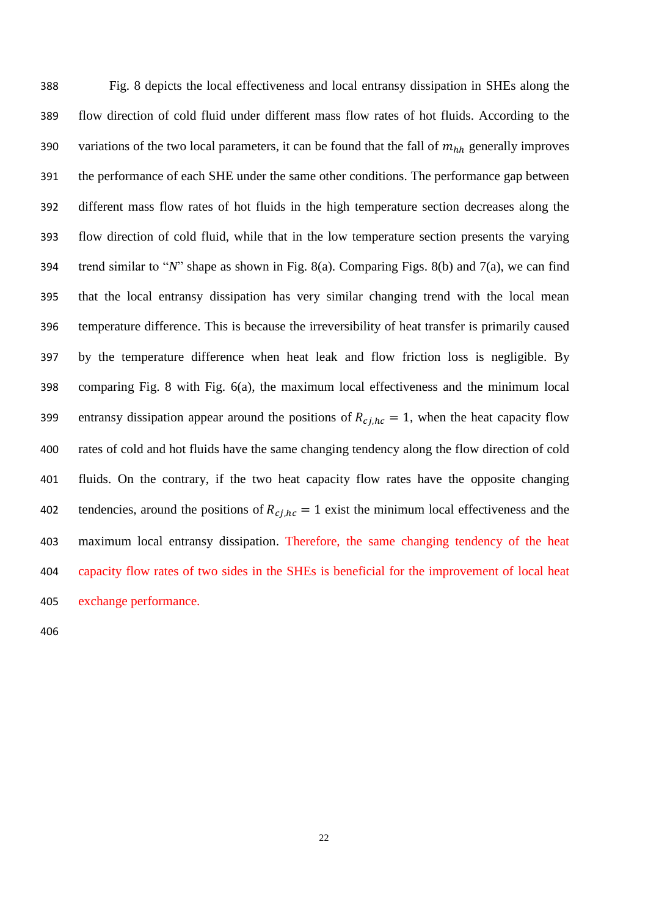Fig. 8 depicts the local effectiveness and local entransy dissipation in SHEs along the flow direction of cold fluid under different mass flow rates of hot fluids. According to the 390 variations of the two local parameters, it can be found that the fall of  $m_{hh}$  generally improves the performance of each SHE under the same other conditions. The performance gap between different mass flow rates of hot fluids in the high temperature section decreases along the flow direction of cold fluid, while that in the low temperature section presents the varying trend similar to "*N*" shape as shown in Fig. 8(a). Comparing Figs. 8(b) and 7(a), we can find that the local entransy dissipation has very similar changing trend with the local mean temperature difference. This is because the irreversibility of heat transfer is primarily caused by the temperature difference when heat leak and flow friction loss is negligible. By comparing Fig. 8 with Fig. 6(a), the maximum local effectiveness and the minimum local 399 entransy dissipation appear around the positions of  $R_{cj, hc} = 1$ , when the heat capacity flow rates of cold and hot fluids have the same changing tendency along the flow direction of cold fluids. On the contrary, if the two heat capacity flow rates have the opposite changing 402 tendencies, around the positions of  $R_{c,j,hc} = 1$  exist the minimum local effectiveness and the maximum local entransy dissipation. Therefore, the same changing tendency of the heat capacity flow rates of two sides in the SHEs is beneficial for the improvement of local heat exchange performance.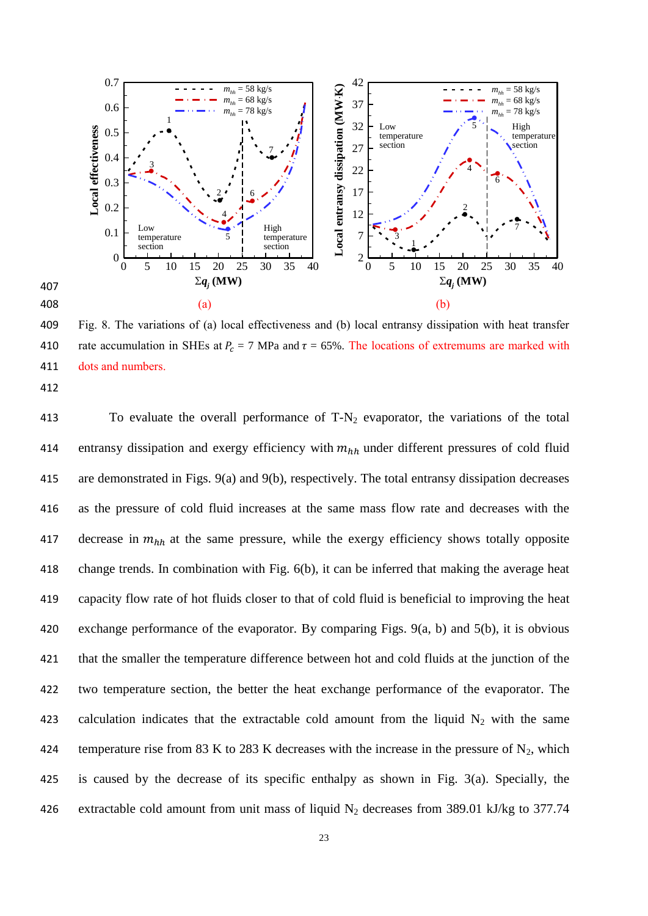

409 Fig. 8. The variations of (a) local effectiveness and (b) local entransy dissipation with heat transfer 410 rate accumulation in SHEs at  $P_c = 7$  MPa and  $\tau = 65\%$ . The locations of extremums are marked with 411 dots and numbers.

413 To evaluate the overall performance of  $T-N_2$  evaporator, the variations of the total 414 entransy dissipation and exergy efficiency with  $m_{hh}$  under different pressures of cold fluid 415 are demonstrated in Figs. 9(a) and 9(b), respectively. The total entransy dissipation decreases 416 as the pressure of cold fluid increases at the same mass flow rate and decreases with the 417 decrease in  $m_{hh}$  at the same pressure, while the exergy efficiency shows totally opposite 418 change trends. In combination with Fig. 6(b), it can be inferred that making the average heat 419 capacity flow rate of hot fluids closer to that of cold fluid is beneficial to improving the heat 420 exchange performance of the evaporator. By comparing Figs. 9(a, b) and 5(b), it is obvious 421 that the smaller the temperature difference between hot and cold fluids at the junction of the 422 two temperature section, the better the heat exchange performance of the evaporator. The 423 calculation indicates that the extractable cold amount from the liquid  $N_2$  with the same 424 temperature rise from 83 K to 283 K decreases with the increase in the pressure of  $N_2$ , which 425 is caused by the decrease of its specific enthalpy as shown in Fig. 3(a). Specially, the 426 extractable cold amount from unit mass of liquid  $N_2$  decreases from 389.01 kJ/kg to 377.74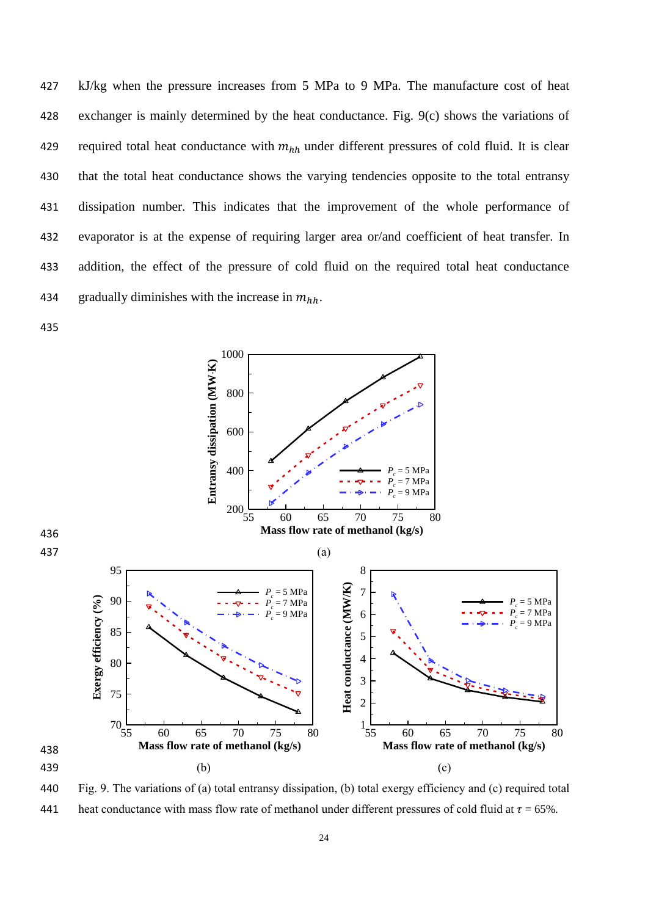kJ/kg when the pressure increases from 5 MPa to 9 MPa. The manufacture cost of heat exchanger is mainly determined by the heat conductance. Fig. 9(c) shows the variations of 429 required total heat conductance with  $m_{hh}$  under different pressures of cold fluid. It is clear that the total heat conductance shows the varying tendencies opposite to the total entransy dissipation number. This indicates that the improvement of the whole performance of evaporator is at the expense of requiring larger area or/and coefficient of heat transfer. In addition, the effect of the pressure of cold fluid on the required total heat conductance 434 gradually diminishes with the increase in  $m_{hh}$ .



 Fig. 9. The variations of (a) total entransy dissipation, (b) total exergy efficiency and (c) required total 441 heat conductance with mass flow rate of methanol under different pressures of cold fluid at  $\tau = 65\%$ .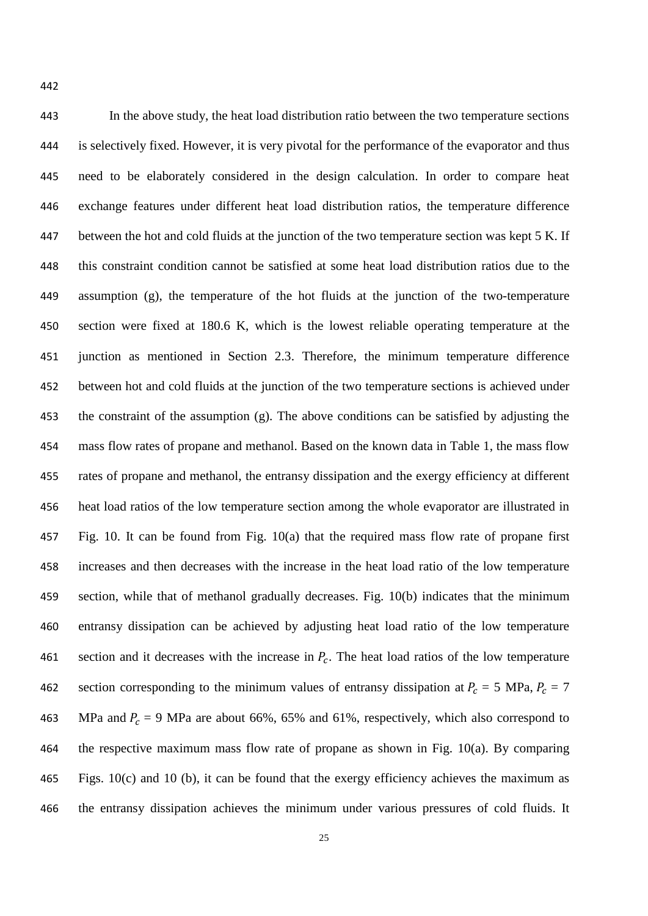In the above study, the heat load distribution ratio between the two temperature sections is selectively fixed. However, it is very pivotal for the performance of the evaporator and thus need to be elaborately considered in the design calculation. In order to compare heat exchange features under different heat load distribution ratios, the temperature difference between the hot and cold fluids at the junction of the two temperature section was kept 5 K. If this constraint condition cannot be satisfied at some heat load distribution ratios due to the

 assumption (g), the temperature of the hot fluids at the junction of the two-temperature section were fixed at 180.6 K, which is the lowest reliable operating temperature at the junction as mentioned in Section 2.3. Therefore, the minimum temperature difference between hot and cold fluids at the junction of the two temperature sections is achieved under the constraint of the assumption (g). The above conditions can be satisfied by adjusting the mass flow rates of propane and methanol. Based on the known data in Table 1, the mass flow rates of propane and methanol, the entransy dissipation and the exergy efficiency at different heat load ratios of the low temperature section among the whole evaporator are illustrated in Fig. 10. It can be found from Fig. 10(a) that the required mass flow rate of propane first increases and then decreases with the increase in the heat load ratio of the low temperature section, while that of methanol gradually decreases. Fig. 10(b) indicates that the minimum entransy dissipation can be achieved by adjusting heat load ratio of the low temperature 461 section and it decreases with the increase in  $P_c$ . The heat load ratios of the low temperature 462 section corresponding to the minimum values of entransy dissipation at  $P_c = 5 \text{ MPa}$ ,  $P_c = 7 \text{ MPa}$ 463 MPa and  $P_c = 9$  MPa are about 66%, 65% and 61%, respectively, which also correspond to the respective maximum mass flow rate of propane as shown in Fig. 10(a). By comparing Figs. 10(c) and 10 (b), it can be found that the exergy efficiency achieves the maximum as the entransy dissipation achieves the minimum under various pressures of cold fluids. It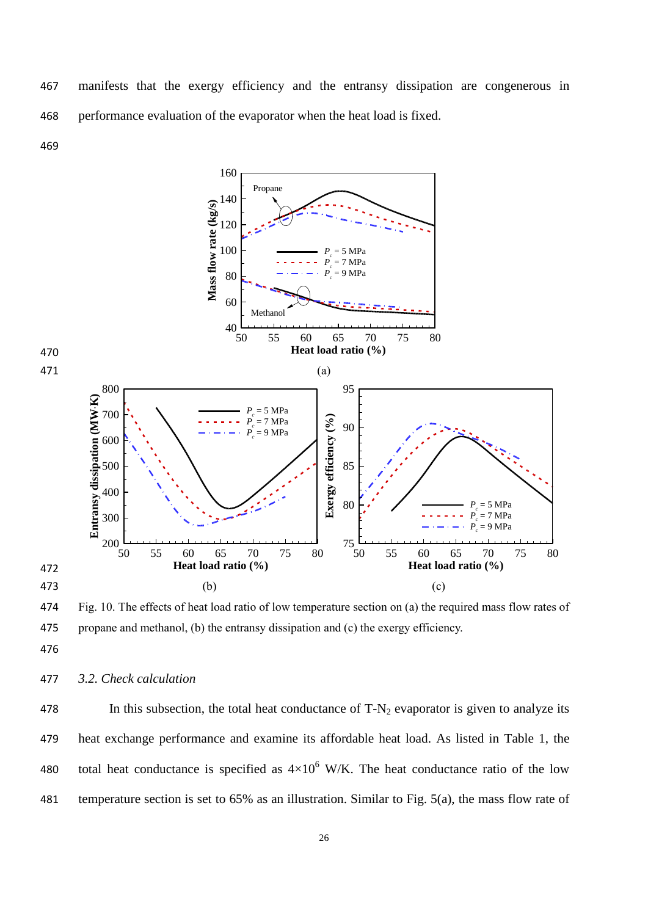manifests that the exergy efficiency and the entransy dissipation are congenerous in performance evaluation of the evaporator when the heat load is fixed.



 Fig. 10. The effects of heat load ratio of low temperature section on (a) the required mass flow rates of propane and methanol, (b) the entransy dissipation and (c) the exergy efficiency.

- 
- *3.2. Check calculation*

478 In this subsection, the total heat conductance of  $T-N_2$  evaporator is given to analyze its heat exchange performance and examine its affordable heat load. As listed in Table 1, the 480 total heat conductance is specified as  $4\times10^6$  W/K. The heat conductance ratio of the low temperature section is set to 65% as an illustration. Similar to Fig. 5(a), the mass flow rate of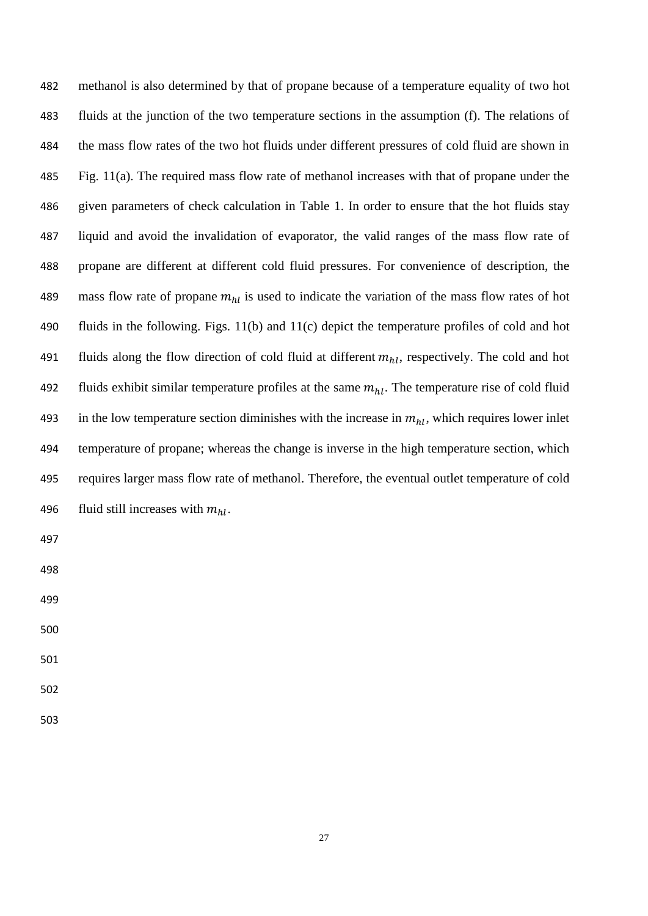| 482 | methanol is also determined by that of propane because of a temperature equality of two hot           |
|-----|-------------------------------------------------------------------------------------------------------|
| 483 | fluids at the junction of the two temperature sections in the assumption (f). The relations of        |
| 484 | the mass flow rates of the two hot fluids under different pressures of cold fluid are shown in        |
| 485 | Fig. $11(a)$ . The required mass flow rate of methanol increases with that of propane under the       |
| 486 | given parameters of check calculation in Table 1. In order to ensure that the hot fluids stay         |
| 487 | liquid and avoid the invalidation of evaporator, the valid ranges of the mass flow rate of            |
| 488 | propane are different at different cold fluid pressures. For convenience of description, the          |
| 489 | mass flow rate of propane $m_{hl}$ is used to indicate the variation of the mass flow rates of hot    |
| 490 | fluids in the following. Figs. 11(b) and 11(c) depict the temperature profiles of cold and hot        |
| 491 | fluids along the flow direction of cold fluid at different $m_{hl}$ , respectively. The cold and hot  |
| 492 | fluids exhibit similar temperature profiles at the same $m_{hl}$ . The temperature rise of cold fluid |
| 493 | in the low temperature section diminishes with the increase in $m_{hl}$ , which requires lower inlet  |
| 494 | temperature of propane; whereas the change is inverse in the high temperature section, which          |
| 495 | requires larger mass flow rate of methanol. Therefore, the eventual outlet temperature of cold        |
| 496 | fluid still increases with $m_{hl}$ .                                                                 |
| 497 |                                                                                                       |
| 498 |                                                                                                       |
| 499 |                                                                                                       |

- 
- 
- 
- 
-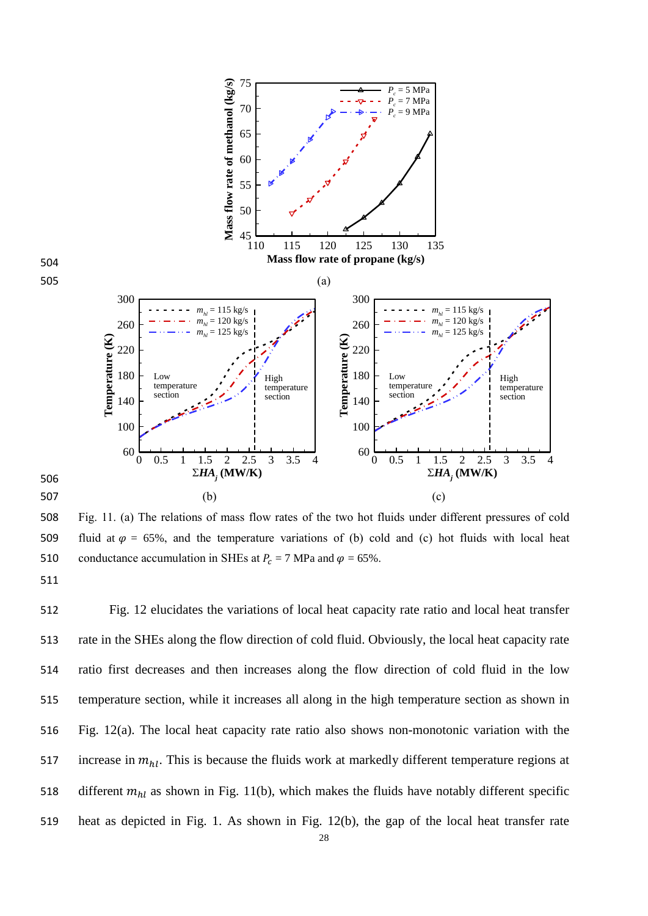

508 Fig. 11. (a) The relations of mass flow rates of the two hot fluids under different pressures of cold 509 fluid at  $\varphi = 65\%$ , and the temperature variations of (b) cold and (c) hot fluids with local heat 510 conductance accumulation in SHEs at  $P_c = 7$  MPa and  $\varphi = 65\%$ .

 Fig. 12 elucidates the variations of local heat capacity rate ratio and local heat transfer rate in the SHEs along the flow direction of cold fluid. Obviously, the local heat capacity rate ratio first decreases and then increases along the flow direction of cold fluid in the low temperature section, while it increases all along in the high temperature section as shown in Fig. 12(a). The local heat capacity rate ratio also shows non-monotonic variation with the 517 increase in  $m_{hl}$ . This is because the fluids work at markedly different temperature regions at 518 different  $m_{hl}$  as shown in Fig. 11(b), which makes the fluids have notably different specific heat as depicted in Fig. 1. As shown in Fig. 12(b), the gap of the local heat transfer rate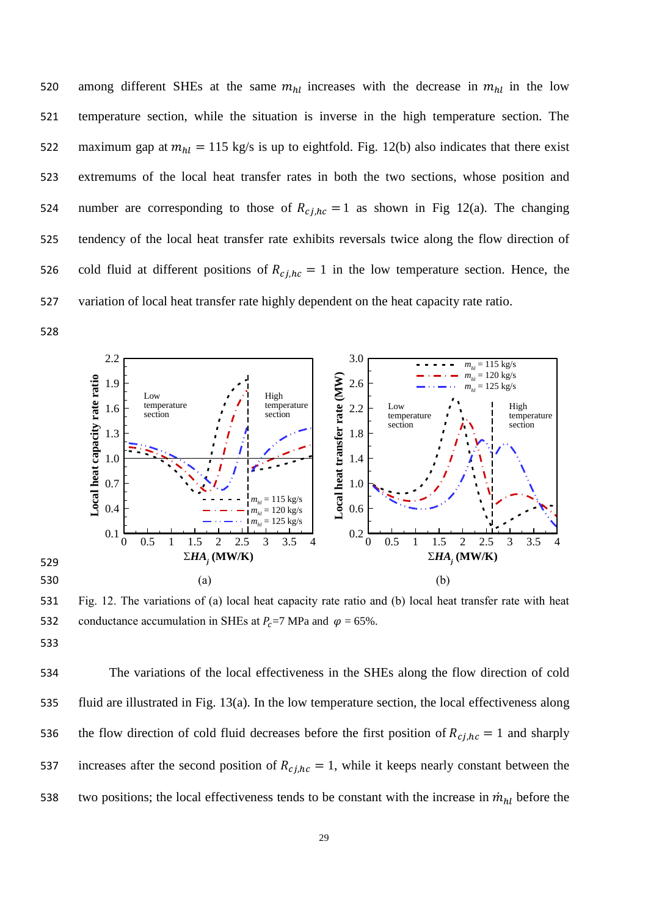520 among different SHEs at the same  $m_{hl}$  increases with the decrease in  $m_{hl}$  in the low 521 temperature section, while the situation is inverse in the high temperature section. The 522 maximum gap at  $m_{hl} = 115$  kg/s is up to eightfold. Fig. 12(b) also indicates that there exist 523 extremums of the local heat transfer rates in both the two sections, whose position and 524 number are corresponding to those of  $R_{ci,hc} = 1$  as shown in Fig 12(a). The changing 525 tendency of the local heat transfer rate exhibits reversals twice along the flow direction of 526 cold fluid at different positions of  $R_{c,j,h,c} = 1$  in the low temperature section. Hence, the 527 variation of local heat transfer rate highly dependent on the heat capacity rate ratio.

528



531 Fig. 12. The variations of (a) local heat capacity rate ratio and (b) local heat transfer rate with heat 532 conductance accumulation in SHEs at  $P_c$ =7 MPa and  $\varphi$  = 65%.

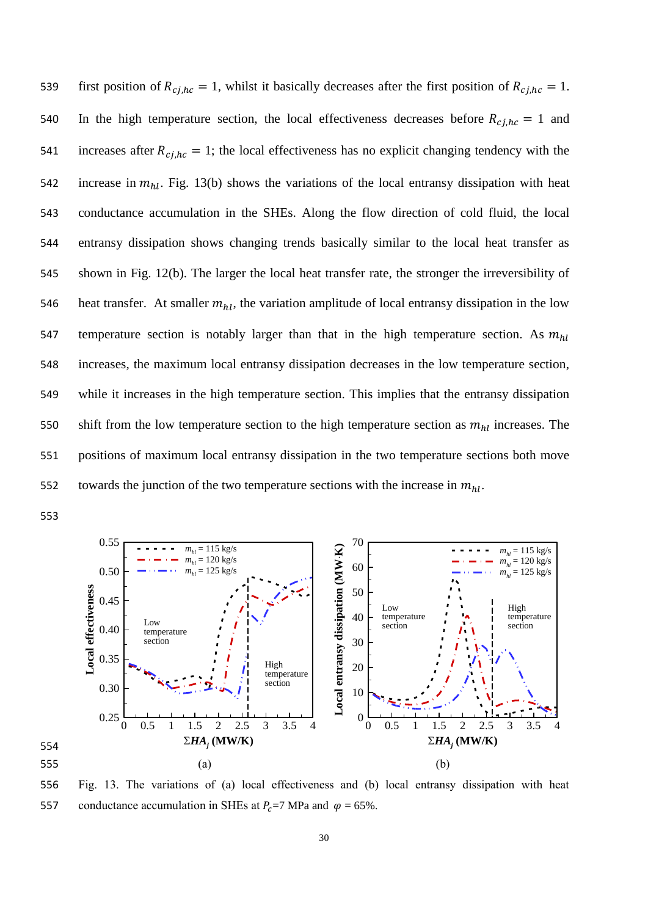539 first position of  $R_{c,j,hc} = 1$ , whilst it basically decreases after the first position of  $R_{c,j,hc} = 1$ . 540 In the high temperature section, the local effectiveness decreases before  $R_{c i,hc} = 1$  and 541 increases after  $R_{c,j,hc} = 1$ ; the local effectiveness has no explicit changing tendency with the 542 increase in  $m_{hl}$ . Fig. 13(b) shows the variations of the local entransy dissipation with heat 543 conductance accumulation in the SHEs. Along the flow direction of cold fluid, the local 544 entransy dissipation shows changing trends basically similar to the local heat transfer as 545 shown in Fig. 12(b). The larger the local heat transfer rate, the stronger the irreversibility of 546 heat transfer. At smaller  $m_{hl}$ , the variation amplitude of local entransy dissipation in the low 547 temperature section is notably larger than that in the high temperature section. As  $m_{hl}$ 548 increases, the maximum local entransy dissipation decreases in the low temperature section, 549 while it increases in the high temperature section. This implies that the entransy dissipation shift from the low temperature section to the high temperature section as  $m_{hl}$  increases. The 551 positions of maximum local entransy dissipation in the two temperature sections both move towards the junction of the two temperature sections with the increase in  $m_{hl}$ .



556 Fig. 13. The variations of (a) local effectiveness and (b) local entransy dissipation with heat 557 conductance accumulation in SHEs at  $P_c$ =7 MPa and  $\varphi$  = 65%.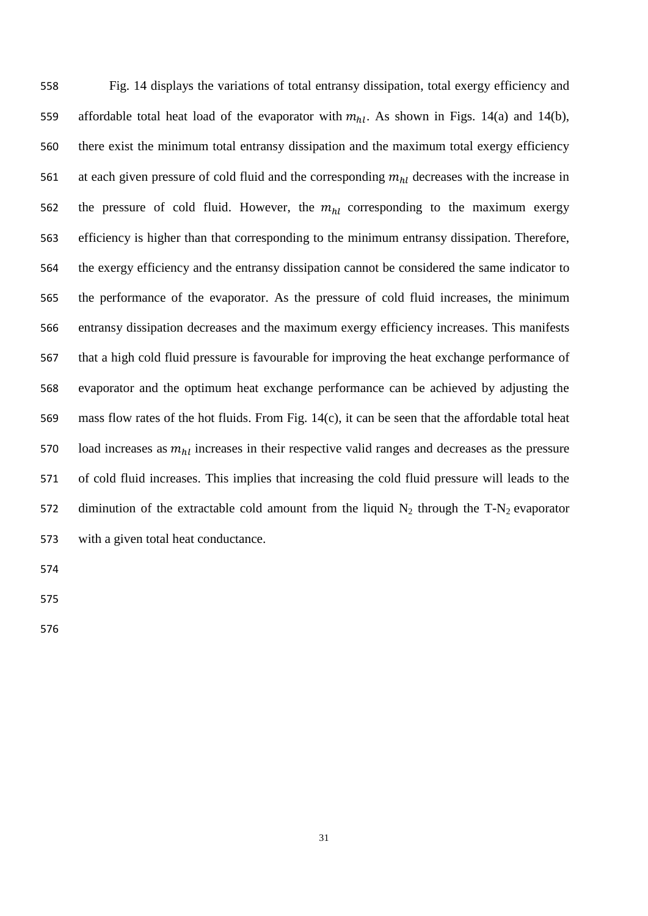Fig. 14 displays the variations of total entransy dissipation, total exergy efficiency and 559 affordable total heat load of the evaporator with  $m_{hl}$ . As shown in Figs. 14(a) and 14(b), there exist the minimum total entransy dissipation and the maximum total exergy efficiency 561 at each given pressure of cold fluid and the corresponding  $m_{hl}$  decreases with the increase in 562 the pressure of cold fluid. However, the  $m_{hl}$  corresponding to the maximum exergy efficiency is higher than that corresponding to the minimum entransy dissipation. Therefore, the exergy efficiency and the entransy dissipation cannot be considered the same indicator to the performance of the evaporator. As the pressure of cold fluid increases, the minimum entransy dissipation decreases and the maximum exergy efficiency increases. This manifests that a high cold fluid pressure is favourable for improving the heat exchange performance of evaporator and the optimum heat exchange performance can be achieved by adjusting the mass flow rates of the hot fluids. From Fig. 14(c), it can be seen that the affordable total heat 570 load increases as  $m_{hl}$  increases in their respective valid ranges and decreases as the pressure of cold fluid increases. This implies that increasing the cold fluid pressure will leads to the 572 diminution of the extractable cold amount from the liquid  $N_2$  through the T-N<sub>2</sub> evaporator with a given total heat conductance.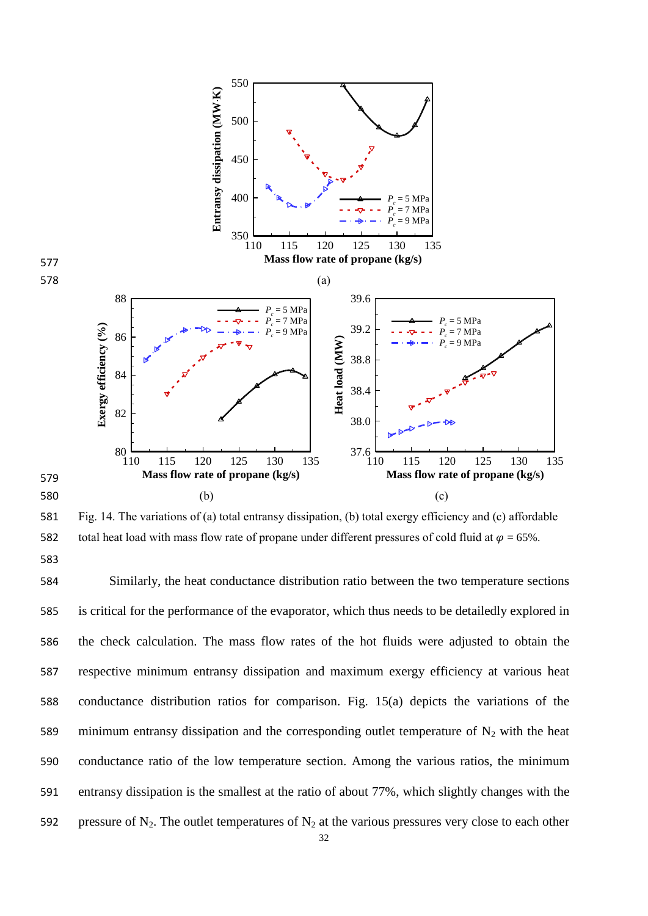

581 Fig. 14. The variations of (a) total entransy dissipation, (b) total exergy efficiency and (c) affordable 582 total heat load with mass flow rate of propane under different pressures of cold fluid at  $\varphi = 65\%$ .

 Similarly, the heat conductance distribution ratio between the two temperature sections is critical for the performance of the evaporator, which thus needs to be detailedly explored in the check calculation. The mass flow rates of the hot fluids were adjusted to obtain the respective minimum entransy dissipation and maximum exergy efficiency at various heat conductance distribution ratios for comparison. Fig. 15(a) depicts the variations of the 589 minimum entransy dissipation and the corresponding outlet temperature of  $N_2$  with the heat conductance ratio of the low temperature section. Among the various ratios, the minimum entransy dissipation is the smallest at the ratio of about 77%, which slightly changes with the 592 pressure of N<sub>2</sub>. The outlet temperatures of N<sub>2</sub> at the various pressures very close to each other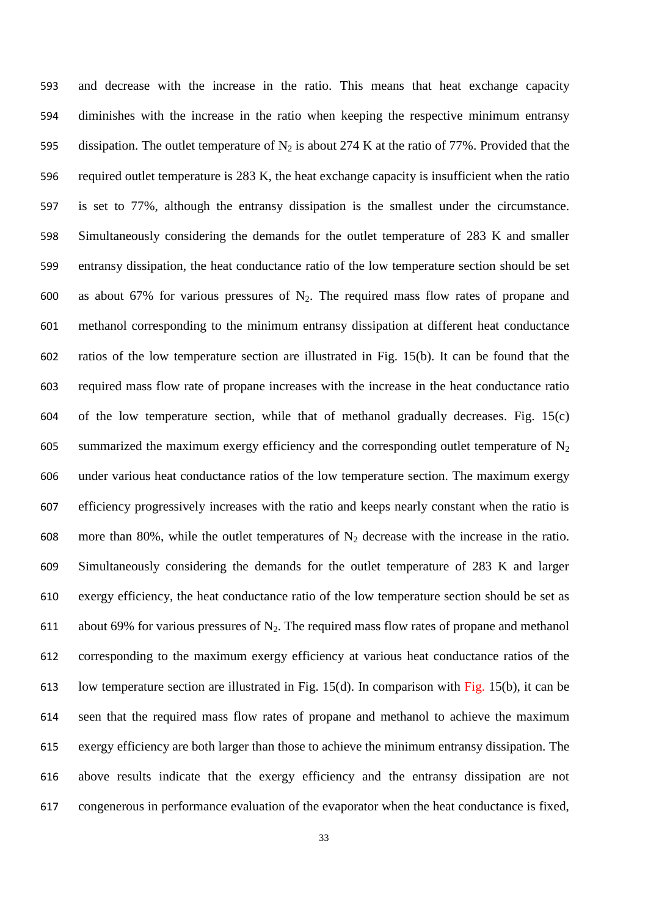and decrease with the increase in the ratio. This means that heat exchange capacity diminishes with the increase in the ratio when keeping the respective minimum entransy 595 dissipation. The outlet temperature of  $N_2$  is about 274 K at the ratio of 77%. Provided that the required outlet temperature is 283 K, the heat exchange capacity is insufficient when the ratio is set to 77%, although the entransy dissipation is the smallest under the circumstance. Simultaneously considering the demands for the outlet temperature of 283 K and smaller entransy dissipation, the heat conductance ratio of the low temperature section should be set 600 as about 67% for various pressures of  $N_2$ . The required mass flow rates of propane and methanol corresponding to the minimum entransy dissipation at different heat conductance ratios of the low temperature section are illustrated in Fig. 15(b). It can be found that the required mass flow rate of propane increases with the increase in the heat conductance ratio of the low temperature section, while that of methanol gradually decreases. Fig. 15(c) 605 summarized the maximum exergy efficiency and the corresponding outlet temperature of  $N_2$  under various heat conductance ratios of the low temperature section. The maximum exergy efficiency progressively increases with the ratio and keeps nearly constant when the ratio is 608 more than 80%, while the outlet temperatures of  $N_2$  decrease with the increase in the ratio. Simultaneously considering the demands for the outlet temperature of 283 K and larger exergy efficiency, the heat conductance ratio of the low temperature section should be set as 611 about 69% for various pressures of  $N_2$ . The required mass flow rates of propane and methanol corresponding to the maximum exergy efficiency at various heat conductance ratios of the low temperature section are illustrated in Fig. 15(d). In comparison with Fig. 15(b), it can be seen that the required mass flow rates of propane and methanol to achieve the maximum exergy efficiency are both larger than those to achieve the minimum entransy dissipation. The above results indicate that the exergy efficiency and the entransy dissipation are not congenerous in performance evaluation of the evaporator when the heat conductance is fixed,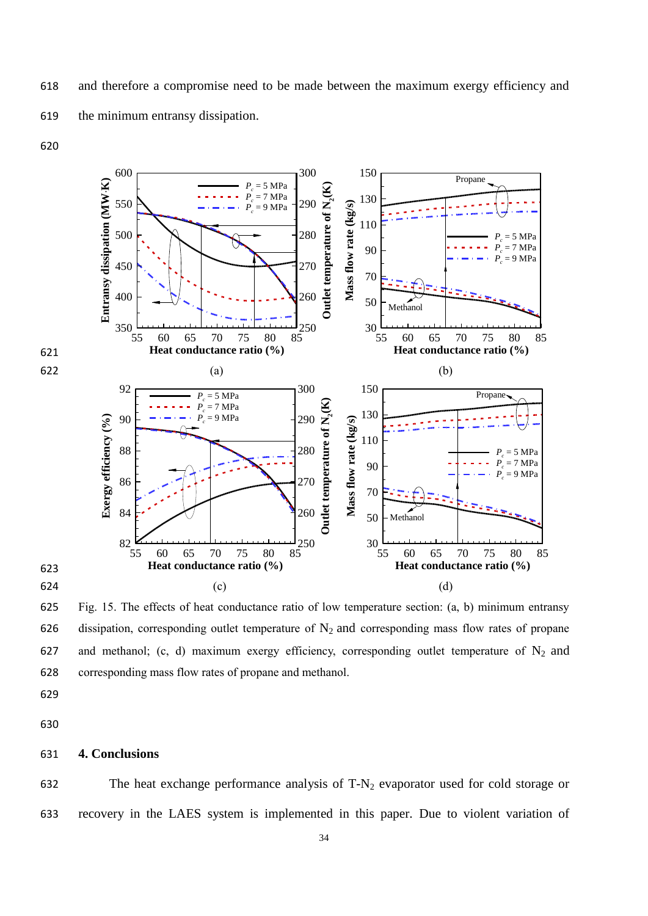![](_page_34_Figure_0.jpeg)

 Fig. 15. The effects of heat conductance ratio of low temperature section: (a, b) minimum entransy 626 dissipation, corresponding outlet temperature of  $N_2$  and corresponding mass flow rates of propane 627 and methanol; (c, d) maximum exergy efficiency, corresponding outlet temperature of  $N_2$  and corresponding mass flow rates of propane and methanol.

#### **4. Conclusions**

632 The heat exchange performance analysis of  $T-N_2$  evaporator used for cold storage or recovery in the LAES system is implemented in this paper. Due to violent variation of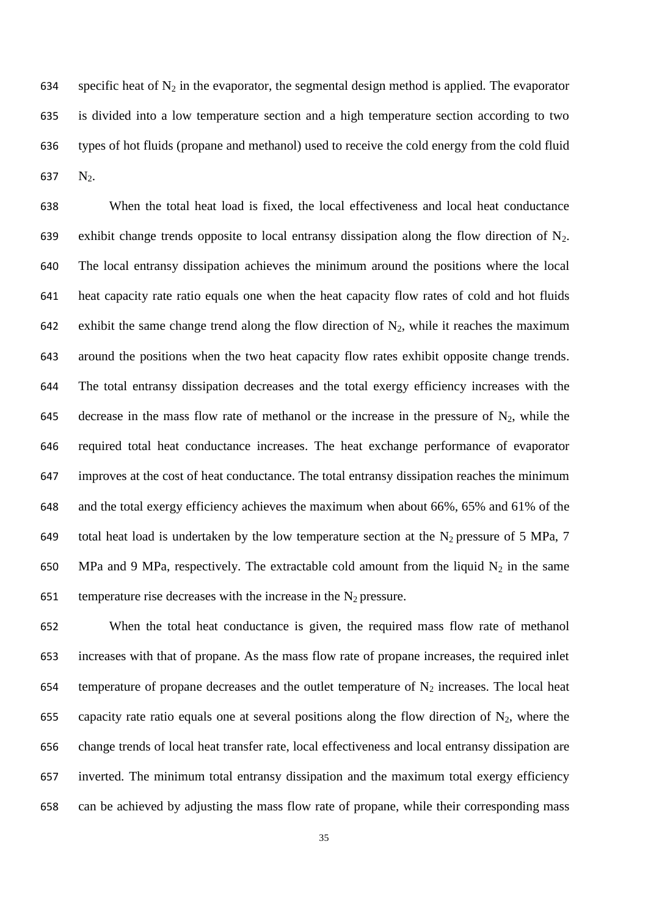634 specific heat of  $N_2$  in the evaporator, the segmental design method is applied. The evaporator is divided into a low temperature section and a high temperature section according to two types of hot fluids (propane and methanol) used to receive the cold energy from the cold fluid 637  $N_2$ .

 When the total heat load is fixed, the local effectiveness and local heat conductance 639 exhibit change trends opposite to local entransy dissipation along the flow direction of  $N_2$ . The local entransy dissipation achieves the minimum around the positions where the local heat capacity rate ratio equals one when the heat capacity flow rates of cold and hot fluids 642 exhibit the same change trend along the flow direction of  $N_2$ , while it reaches the maximum around the positions when the two heat capacity flow rates exhibit opposite change trends. The total entransy dissipation decreases and the total exergy efficiency increases with the 645 decrease in the mass flow rate of methanol or the increase in the pressure of  $N_2$ , while the required total heat conductance increases. The heat exchange performance of evaporator improves at the cost of heat conductance. The total entransy dissipation reaches the minimum and the total exergy efficiency achieves the maximum when about 66%, 65% and 61% of the 649 total heat load is undertaken by the low temperature section at the  $N_2$  pressure of 5 MPa, 7 650 MPa and 9 MPa, respectively. The extractable cold amount from the liquid  $N_2$  in the same 651 temperature rise decreases with the increase in the  $N_2$  pressure.

 When the total heat conductance is given, the required mass flow rate of methanol increases with that of propane. As the mass flow rate of propane increases, the required inlet 654 temperature of propane decreases and the outlet temperature of  $N_2$  increases. The local heat 655 capacity rate ratio equals one at several positions along the flow direction of  $N_2$ , where the change trends of local heat transfer rate, local effectiveness and local entransy dissipation are inverted. The minimum total entransy dissipation and the maximum total exergy efficiency can be achieved by adjusting the mass flow rate of propane, while their corresponding mass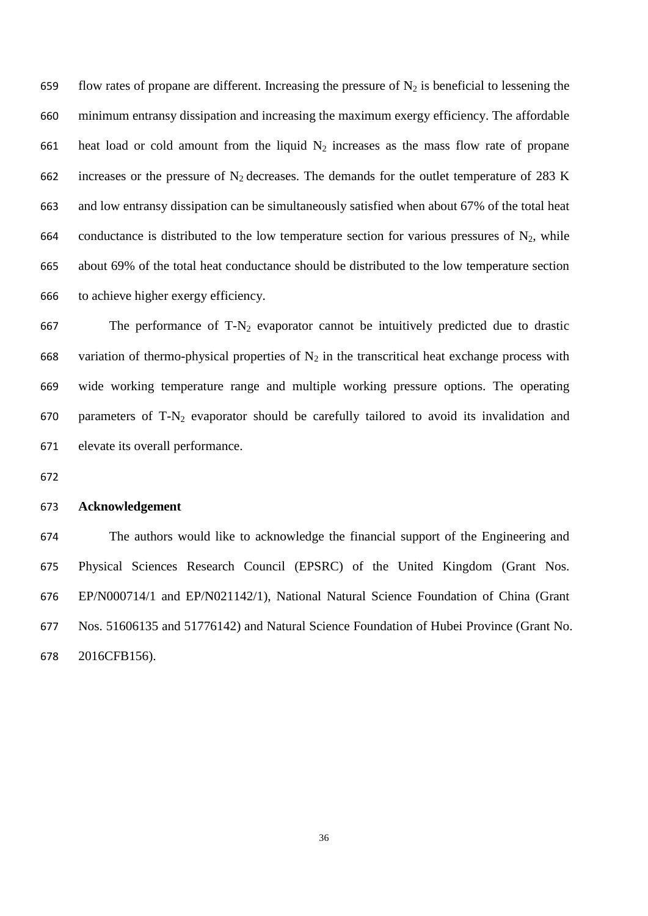659 flow rates of propane are different. Increasing the pressure of  $N_2$  is beneficial to lessening the minimum entransy dissipation and increasing the maximum exergy efficiency. The affordable 661 heat load or cold amount from the liquid  $N_2$  increases as the mass flow rate of propane 662 increases or the pressure of  $N_2$  decreases. The demands for the outlet temperature of 283 K and low entransy dissipation can be simultaneously satisfied when about 67% of the total heat 664 conductance is distributed to the low temperature section for various pressures of  $N_2$ , while about 69% of the total heat conductance should be distributed to the low temperature section to achieve higher exergy efficiency.

667 The performance of  $T-N_2$  evaporator cannot be intuitively predicted due to drastic 668 variation of thermo-physical properties of  $N_2$  in the transcritical heat exchange process with wide working temperature range and multiple working pressure options. The operating 670 parameters of  $T-N_2$  evaporator should be carefully tailored to avoid its invalidation and elevate its overall performance.

#### **Acknowledgement**

 The authors would like to acknowledge the financial support of the Engineering and Physical Sciences Research Council (EPSRC) of the United Kingdom (Grant Nos. EP/N000714/1 and EP/N021142/1), National Natural Science Foundation of China (Grant Nos. 51606135 and 51776142) and Natural Science Foundation of Hubei Province (Grant No. 2016CFB156).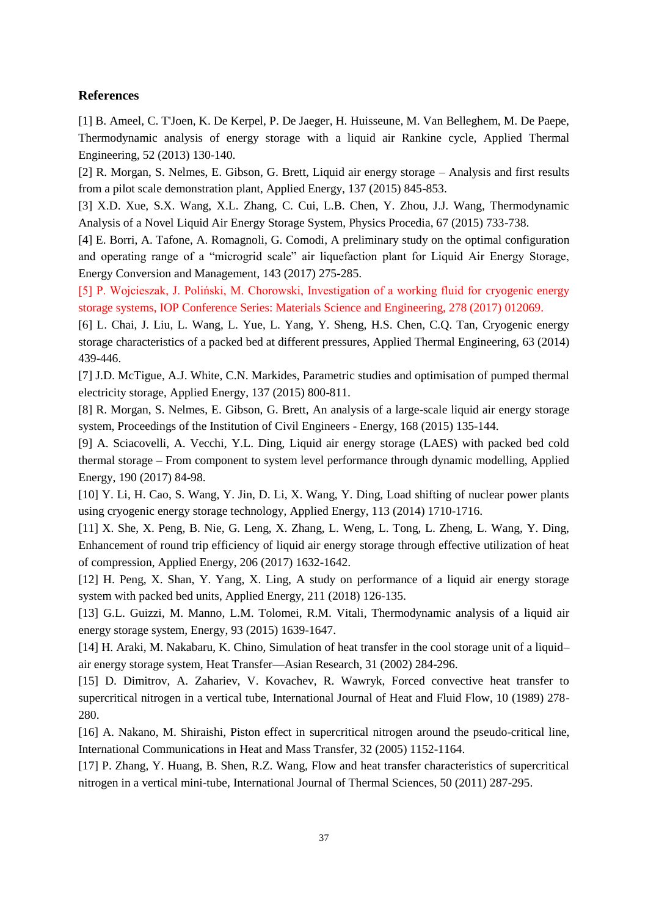#### **References**

[1] B. Ameel, C. T'Joen, K. De Kerpel, P. De Jaeger, H. Huisseune, M. Van Belleghem, M. De Paepe, Thermodynamic analysis of energy storage with a liquid air Rankine cycle, Applied Thermal Engineering, 52 (2013) 130-140.

[2] R. Morgan, S. Nelmes, E. Gibson, G. Brett, Liquid air energy storage – Analysis and first results from a pilot scale demonstration plant, Applied Energy, 137 (2015) 845-853.

[3] X.D. Xue, S.X. Wang, X.L. Zhang, C. Cui, L.B. Chen, Y. Zhou, J.J. Wang, Thermodynamic Analysis of a Novel Liquid Air Energy Storage System, Physics Procedia, 67 (2015) 733-738.

[4] E. Borri, A. Tafone, A. Romagnoli, G. Comodi, A preliminary study on the optimal configuration and operating range of a "microgrid scale" air liquefaction plant for Liquid Air Energy Storage, Energy Conversion and Management, 143 (2017) 275-285.

[5] P. Wojcieszak, J. Poliński, M. Chorowski, Investigation of a working fluid for cryogenic energy storage systems, IOP Conference Series: Materials Science and Engineering, 278 (2017) 012069.

[6] L. Chai, J. Liu, L. Wang, L. Yue, L. Yang, Y. Sheng, H.S. Chen, C.Q. Tan, Cryogenic energy storage characteristics of a packed bed at different pressures, Applied Thermal Engineering, 63 (2014) 439-446.

[7] J.D. McTigue, A.J. White, C.N. Markides, Parametric studies and optimisation of pumped thermal electricity storage, Applied Energy, 137 (2015) 800-811.

[8] R. Morgan, S. Nelmes, E. Gibson, G. Brett, An analysis of a large-scale liquid air energy storage system, Proceedings of the Institution of Civil Engineers - Energy, 168 (2015) 135-144.

[9] A. Sciacovelli, A. Vecchi, Y.L. Ding, Liquid air energy storage (LAES) with packed bed cold thermal storage – From component to system level performance through dynamic modelling, Applied Energy, 190 (2017) 84-98.

[10] Y. Li, H. Cao, S. Wang, Y. Jin, D. Li, X. Wang, Y. Ding, Load shifting of nuclear power plants using cryogenic energy storage technology, Applied Energy, 113 (2014) 1710-1716.

[11] X. She, X. Peng, B. Nie, G. Leng, X. Zhang, L. Weng, L. Tong, L. Zheng, L. Wang, Y. Ding, Enhancement of round trip efficiency of liquid air energy storage through effective utilization of heat of compression, Applied Energy, 206 (2017) 1632-1642.

[12] H. Peng, X. Shan, Y. Yang, X. Ling, A study on performance of a liquid air energy storage system with packed bed units, Applied Energy, 211 (2018) 126-135.

[13] G.L. Guizzi, M. Manno, L.M. Tolomei, R.M. Vitali, Thermodynamic analysis of a liquid air energy storage system, Energy, 93 (2015) 1639-1647.

[14] H. Araki, M. Nakabaru, K. Chino, Simulation of heat transfer in the cool storage unit of a liquid– air energy storage system, Heat Transfer—Asian Research, 31 (2002) 284-296.

[15] D. Dimitrov, A. Zahariev, V. Kovachev, R. Wawryk, Forced convective heat transfer to supercritical nitrogen in a vertical tube, International Journal of Heat and Fluid Flow, 10 (1989) 278- 280.

[16] A. Nakano, M. Shiraishi, Piston effect in supercritical nitrogen around the pseudo-critical line, International Communications in Heat and Mass Transfer, 32 (2005) 1152-1164.

[17] P. Zhang, Y. Huang, B. Shen, R.Z. Wang, Flow and heat transfer characteristics of supercritical nitrogen in a vertical mini-tube, International Journal of Thermal Sciences, 50 (2011) 287-295.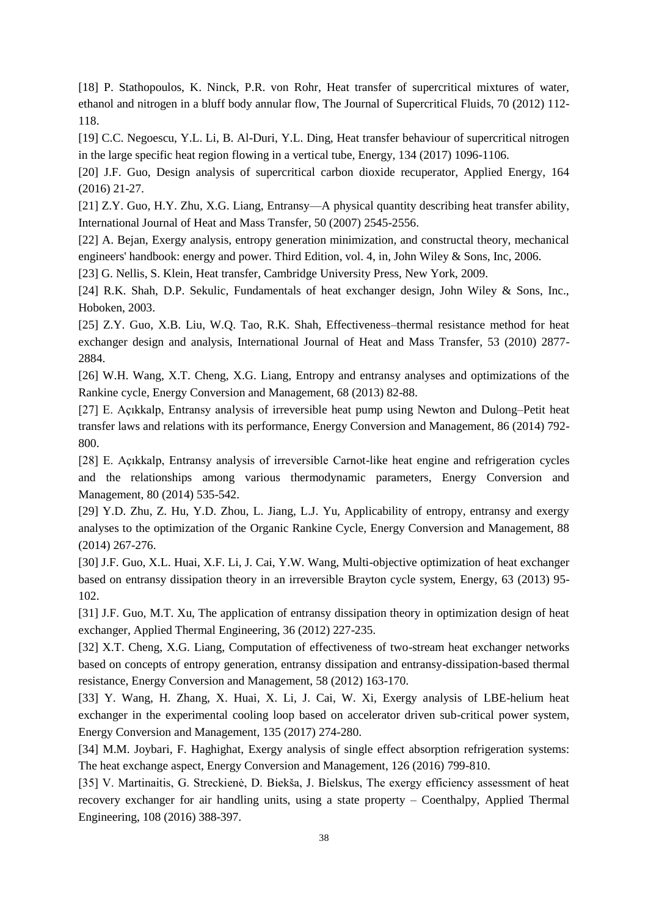[18] P. Stathopoulos, K. Ninck, P.R. von Rohr, Heat transfer of supercritical mixtures of water, ethanol and nitrogen in a bluff body annular flow, The Journal of Supercritical Fluids, 70 (2012) 112- 118.

[19] C.C. Negoescu, Y.L. Li, B. Al-Duri, Y.L. Ding, Heat transfer behaviour of supercritical nitrogen in the large specific heat region flowing in a vertical tube, Energy, 134 (2017) 1096-1106.

[20] J.F. Guo, Design analysis of supercritical carbon dioxide recuperator, Applied Energy, 164 (2016) 21-27.

[21] Z.Y. Guo, H.Y. Zhu, X.G. Liang, Entransy—A physical quantity describing heat transfer ability, International Journal of Heat and Mass Transfer, 50 (2007) 2545-2556.

[22] A. Bejan, Exergy analysis, entropy generation minimization, and constructal theory, mechanical engineers' handbook: energy and power. Third Edition, vol. 4, in, John Wiley & Sons, Inc, 2006.

[23] G. Nellis, S. Klein, Heat transfer, Cambridge University Press, New York, 2009.

[24] R.K. Shah, D.P. Sekulic, Fundamentals of heat exchanger design, John Wiley & Sons, Inc., Hoboken, 2003.

[25] Z.Y. Guo, X.B. Liu, W.Q. Tao, R.K. Shah, Effectiveness–thermal resistance method for heat exchanger design and analysis, International Journal of Heat and Mass Transfer, 53 (2010) 2877- 2884.

[26] W.H. Wang, X.T. Cheng, X.G. Liang, Entropy and entransy analyses and optimizations of the Rankine cycle, Energy Conversion and Management, 68 (2013) 82-88.

[27] E. Açıkkalp, Entransy analysis of irreversible heat pump using Newton and Dulong–Petit heat transfer laws and relations with its performance, Energy Conversion and Management, 86 (2014) 792- 800.

[28] E. Açıkkalp, Entransy analysis of irreversible Carnot-like heat engine and refrigeration cycles and the relationships among various thermodynamic parameters, Energy Conversion and Management, 80 (2014) 535-542.

[29] Y.D. Zhu, Z. Hu, Y.D. Zhou, L. Jiang, L.J. Yu, Applicability of entropy, entransy and exergy analyses to the optimization of the Organic Rankine Cycle, Energy Conversion and Management, 88 (2014) 267-276.

[30] J.F. Guo, X.L. Huai, X.F. Li, J. Cai, Y.W. Wang, Multi-objective optimization of heat exchanger based on entransy dissipation theory in an irreversible Brayton cycle system, Energy, 63 (2013) 95- 102.

[31] J.F. Guo, M.T. Xu, The application of entransy dissipation theory in optimization design of heat exchanger, Applied Thermal Engineering, 36 (2012) 227-235.

[32] X.T. Cheng, X.G. Liang, Computation of effectiveness of two-stream heat exchanger networks based on concepts of entropy generation, entransy dissipation and entransy-dissipation-based thermal resistance, Energy Conversion and Management, 58 (2012) 163-170.

[33] Y. Wang, H. Zhang, X. Huai, X. Li, J. Cai, W. Xi, Exergy analysis of LBE-helium heat exchanger in the experimental cooling loop based on accelerator driven sub-critical power system, Energy Conversion and Management, 135 (2017) 274-280.

[34] M.M. Joybari, F. Haghighat, Exergy analysis of single effect absorption refrigeration systems: The heat exchange aspect, Energy Conversion and Management, 126 (2016) 799-810.

[35] V. Martinaitis, G. Streckienė, D. Biekša, J. Bielskus, The exergy efficiency assessment of heat recovery exchanger for air handling units, using a state property – Coenthalpy, Applied Thermal Engineering, 108 (2016) 388-397.